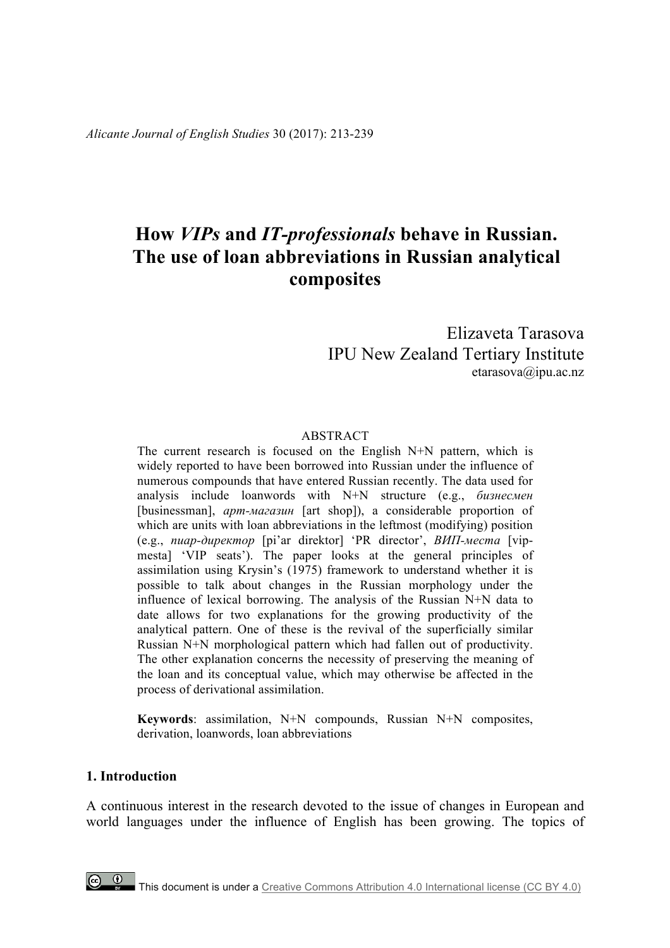*Alicante Journal of English Studies* 30 (2017): 213-239

# **How** *VIPs* **and** *IT-professionals* **behave in Russian. The use of loan abbreviations in Russian analytical composites**

# Elizaveta Tarasova IPU New Zealand Tertiary Institute etarasova@ipu.ac.nz

### ABSTRACT

The current research is focused on the English N+N pattern, which is widely reported to have been borrowed into Russian under the influence of numerous compounds that have entered Russian recently. The data used for analysis include loanwords with N+N structure (e.g., *бизнесмен* [businessman], *арт-магазин* [art shop]), a considerable proportion of which are units with loan abbreviations in the leftmost (modifying) position (e.g., *пиар-директор* [pi'ar direktor] 'PR director', *ВИП-места* [vipmesta] 'VIP seats'). The paper looks at the general principles of assimilation using Krysin's (1975) framework to understand whether it is possible to talk about changes in the Russian morphology under the influence of lexical borrowing. The analysis of the Russian N+N data to date allows for two explanations for the growing productivity of the analytical pattern. One of these is the revival of the superficially similar Russian N+N morphological pattern which had fallen out of productivity. The other explanation concerns the necessity of preserving the meaning of the loan and its conceptual value, which may otherwise be affected in the process of derivational assimilation.

**Keywords**: assimilation, N+N compounds, Russian N+N composites, derivation, loanwords, loan abbreviations

### **1. Introduction**

A continuous interest in the research devoted to the issue of changes in European and world languages under the influence of English has been growing. The topics of

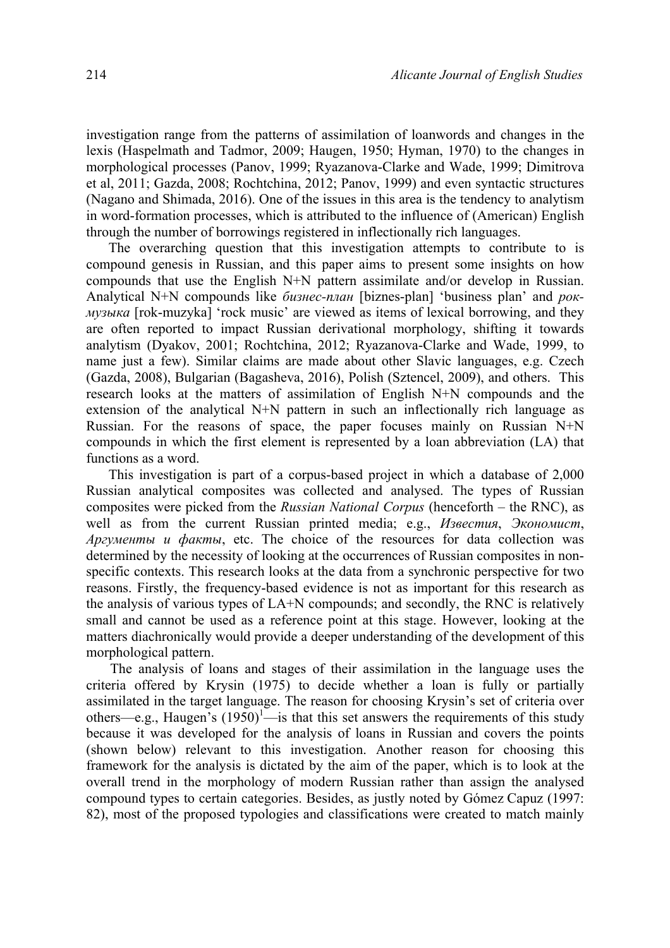investigation range from the patterns of assimilation of loanwords and changes in the lexis (Haspelmath and Tadmor, 2009; Haugen, 1950; Hyman, 1970) to the changes in morphological processes (Panov, 1999; Ryazanova-Clarke and Wade, 1999; Dimitrova et al, 2011; Gazda, 2008; Rochtchina, 2012; Panov, 1999) and even syntactic structures (Nagano and Shimada, 2016). One of the issues in this area is the tendency to analytism in word-formation processes, which is attributed to the influence of (American) English through the number of borrowings registered in inflectionally rich languages.

The overarching question that this investigation attempts to contribute to is compound genesis in Russian, and this paper aims to present some insights on how compounds that use the English N+N pattern assimilate and/or develop in Russian. Analytical N+N compounds like *бизнес-план* [biznes-plan] 'business plan' and *рокмузыка* [rok-muzyka] 'rock music' are viewed as items of lexical borrowing, and they are often reported to impact Russian derivational morphology, shifting it towards analytism (Dyakov, 2001; Rochtchina, 2012; Ryazanova-Clarke and Wade, 1999, to name just a few). Similar claims are made about other Slavic languages, e.g. Czech (Gazda, 2008), Bulgarian (Bagasheva, 2016), Polish (Sztencel, 2009), and others. This research looks at the matters of assimilation of English N+N compounds and the extension of the analytical N+N pattern in such an inflectionally rich language as Russian. For the reasons of space, the paper focuses mainly on Russian N+N compounds in which the first element is represented by a loan abbreviation (LA) that functions as a word.

This investigation is part of a corpus-based project in which a database of 2,000 Russian analytical composites was collected and analysed. The types of Russian composites were picked from the *Russian National Corpus* (henceforth – the RNC), as well as from the current Russian printed media; e.g., *Известия*, *Экономист*, *Аргументы и факты*, etc. The choice of the resources for data collection was determined by the necessity of looking at the occurrences of Russian composites in nonspecific contexts. This research looks at the data from a synchronic perspective for two reasons. Firstly, the frequency-based evidence is not as important for this research as the analysis of various types of LA+N compounds; and secondly, the RNC is relatively small and cannot be used as a reference point at this stage. However, looking at the matters diachronically would provide a deeper understanding of the development of this morphological pattern.

The analysis of loans and stages of their assimilation in the language uses the criteria offered by Krysin (1975) to decide whether a loan is fully or partially assimilated in the target language. The reason for choosing Krysin's set of criteria over others—e.g., Haugen's  $(1950)^{1}$ —is that this set answers the requirements of this study because it was developed for the analysis of loans in Russian and covers the points (shown below) relevant to this investigation. Another reason for choosing this framework for the analysis is dictated by the aim of the paper, which is to look at the overall trend in the morphology of modern Russian rather than assign the analysed compound types to certain categories. Besides, as justly noted by Gómez Capuz (1997: 82), most of the proposed typologies and classifications were created to match mainly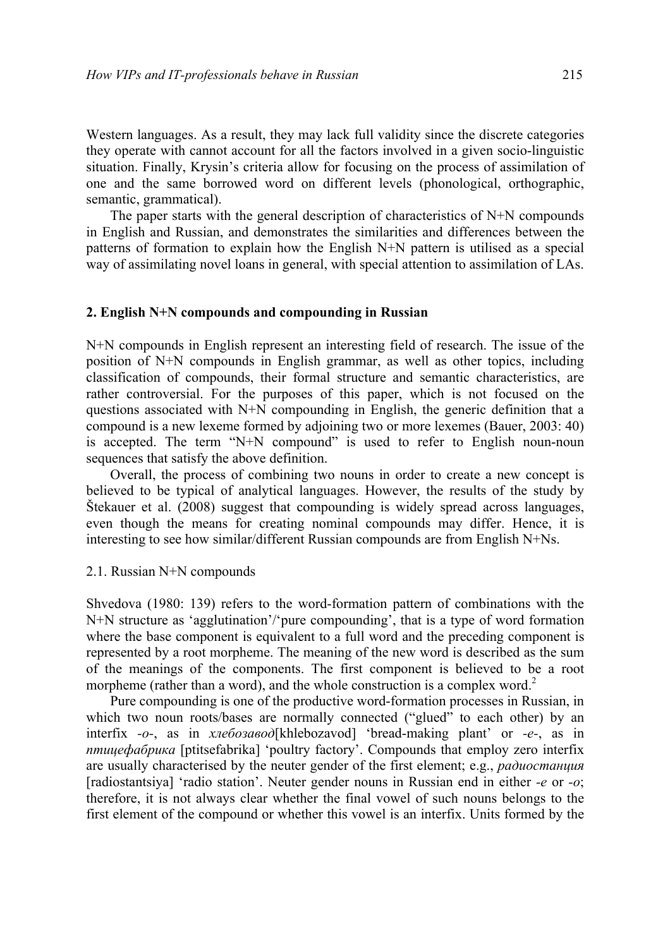Western languages. As a result, they may lack full validity since the discrete categories they operate with cannot account for all the factors involved in a given socio-linguistic situation. Finally, Krysin's criteria allow for focusing on the process of assimilation of one and the same borrowed word on different levels (phonological, orthographic, semantic, grammatical).

The paper starts with the general description of characteristics of N+N compounds in English and Russian, and demonstrates the similarities and differences between the patterns of formation to explain how the English N+N pattern is utilised as a special way of assimilating novel loans in general, with special attention to assimilation of LAs.

#### **2. English N+N compounds and compounding in Russian**

N+N compounds in English represent an interesting field of research. The issue of the position of N+N compounds in English grammar, as well as other topics, including classification of compounds, their formal structure and semantic characteristics, are rather controversial. For the purposes of this paper, which is not focused on the questions associated with N+N compounding in English, the generic definition that a compound is a new lexeme formed by adjoining two or more lexemes (Bauer, 2003: 40) is accepted. The term "N+N compound" is used to refer to English noun-noun sequences that satisfy the above definition.

Overall, the process of combining two nouns in order to create a new concept is believed to be typical of analytical languages. However, the results of the study by Štekauer et al. (2008) suggest that compounding is widely spread across languages, even though the means for creating nominal compounds may differ. Hence, it is interesting to see how similar/different Russian compounds are from English N+Ns.

#### 2.1. Russian N+N compounds

Shvedova (1980: 139) refers to the word-formation pattern of combinations with the N+N structure as 'agglutination'/'pure compounding', that is a type of word formation where the base component is equivalent to a full word and the preceding component is represented by a root morpheme. The meaning of the new word is described as the sum of the meanings of the components. The first component is believed to be a root morpheme (rather than a word), and the whole construction is a complex word.<sup>2</sup>

Pure compounding is one of the productive word-formation processes in Russian, in which two noun roots/bases are normally connected ("glued" to each other) by an interfix *-o-*, as in *хлебозавод*[khlebozavod] 'bread-making plant' or *-e-*, as in *птицефабрика* [ptitsefabrika] 'poultry factory'. Compounds that employ zero interfix are usually characterised by the neuter gender of the first element; e.g., *радиостанция* [radiostantsiya] 'radio station'. Neuter gender nouns in Russian end in either *-e* or *-o*; therefore, it is not always clear whether the final vowel of such nouns belongs to the first element of the compound or whether this vowel is an interfix. Units formed by the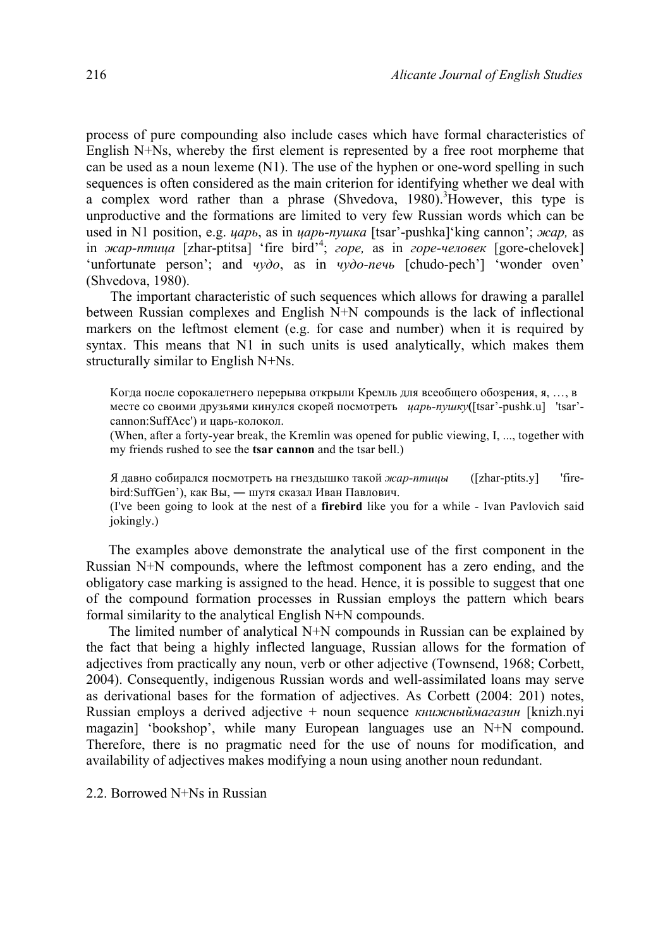process of pure compounding also include cases which have formal characteristics of English N+Ns, whereby the first element is represented by a free root morpheme that can be used as a noun lexeme (N1). The use of the hyphen or one-word spelling in such sequences is often considered as the main criterion for identifying whether we deal with a complex word rather than a phrase (Shvedova, 1980). 3 However, this type is unproductive and the formations are limited to very few Russian words which can be used in N1 position, e.g. *царь*, as in *царь-пушка* [tsar'-pushka]'king cannon'; *жар,* as in *жар-птица* [zhar-ptitsa] 'fire bird'<sup>4</sup> ; *горе,* as in *горе-человек* [gore-chelovek] 'unfortunate person'; and *чудо*, as in *чудо-печь* [chudo-pech'] 'wonder oven' (Shvedova, 1980).

The important characteristic of such sequences which allows for drawing a parallel between Russian complexes and English N+N compounds is the lack of inflectional markers on the leftmost element (e.g. for case and number) when it is required by syntax. This means that N1 in such units is used analytically, which makes them structurally similar to English N+Ns.

Когда после сорокалетнего перерыва открыли Кремль для всеобщего обозрения, я, …, в месте со своими друзьями кинулся скорей посмотреть *царь-пушку***(**[tsar'-pushk.u] 'tsar' cannon:SuffAcc') и царь-колокол.

(When, after a forty-year break, the Kremlin was opened for public viewing, I, ..., together with my friends rushed to see the **tsar cannon** and the tsar bell.)

Я давно собирался посмотреть на гнездышко такой *жар-птицы* ([zhar-ptits.y] 'firebird:SuffGen'), как Вы, ― шутя сказал Иван Павлович.

(I've been going to look at the nest of a **firebird** like you for a while - Ivan Pavlovich said jokingly.)

The examples above demonstrate the analytical use of the first component in the Russian N+N compounds, where the leftmost component has a zero ending, and the obligatory case marking is assigned to the head. Hence, it is possible to suggest that one of the compound formation processes in Russian employs the pattern which bears formal similarity to the analytical English N+N compounds.

The limited number of analytical N+N compounds in Russian can be explained by the fact that being a highly inflected language, Russian allows for the formation of adjectives from practically any noun, verb or other adjective (Townsend, 1968; Corbett, 2004). Consequently, indigenous Russian words and well-assimilated loans may serve as derivational bases for the formation of adjectives. As Corbett (2004: 201) notes, Russian employs a derived adjective + noun sequence *книжныймагазин* [knizh.nyi magazin] 'bookshop', while many European languages use an N+N compound. Therefore, there is no pragmatic need for the use of nouns for modification, and availability of adjectives makes modifying a noun using another noun redundant.

#### 2.2. Borrowed N+Ns in Russian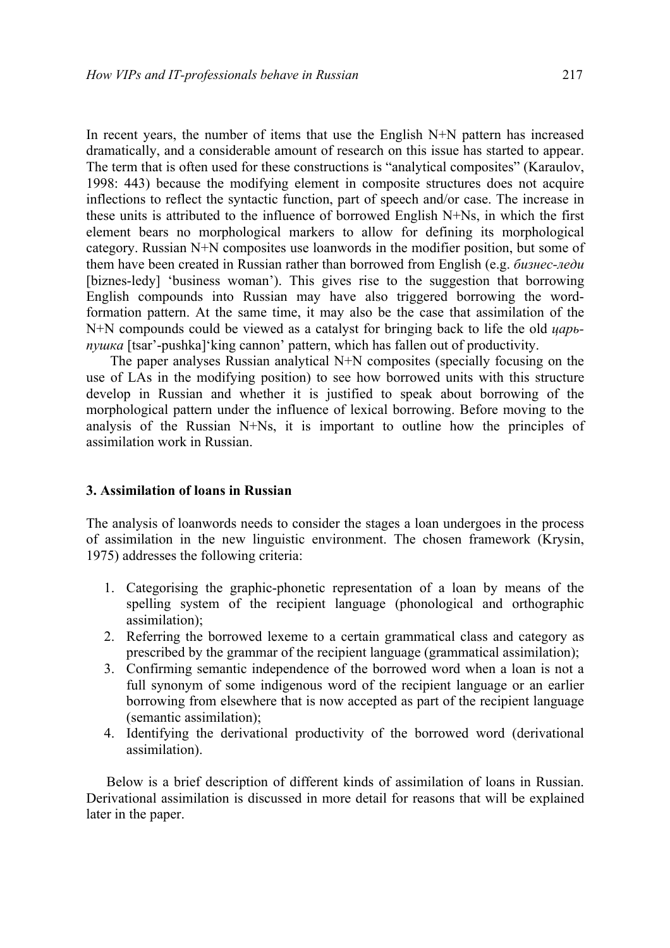In recent years, the number of items that use the English N+N pattern has increased dramatically, and a considerable amount of research on this issue has started to appear. The term that is often used for these constructions is "analytical composites" (Karaulov, 1998: 443) because the modifying element in composite structures does not acquire inflections to reflect the syntactic function, part of speech and/or case. The increase in these units is attributed to the influence of borrowed English N+Ns, in which the first element bears no morphological markers to allow for defining its morphological category. Russian N+N composites use loanwords in the modifier position, but some of them have been created in Russian rather than borrowed from English (e.g. *бизнес-леди* [biznes-ledy] 'business woman'). This gives rise to the suggestion that borrowing English compounds into Russian may have also triggered borrowing the wordformation pattern. At the same time, it may also be the case that assimilation of the N+N compounds could be viewed as a catalyst for bringing back to life the old *царьпушка* [tsar'-pushka]'king cannon' pattern, which has fallen out of productivity.

The paper analyses Russian analytical N+N composites (specially focusing on the use of LAs in the modifying position) to see how borrowed units with this structure develop in Russian and whether it is justified to speak about borrowing of the morphological pattern under the influence of lexical borrowing. Before moving to the analysis of the Russian N+Ns, it is important to outline how the principles of assimilation work in Russian.

# **3. Assimilation of loans in Russian**

The analysis of loanwords needs to consider the stages a loan undergoes in the process of assimilation in the new linguistic environment. The chosen framework (Krysin, 1975) addresses the following criteria:

- 1. Categorising the graphic-phonetic representation of a loan by means of the spelling system of the recipient language (phonological and orthographic assimilation);
- 2. Referring the borrowed lexeme to a certain grammatical class and category as prescribed by the grammar of the recipient language (grammatical assimilation);
- 3. Confirming semantic independence of the borrowed word when a loan is not a full synonym of some indigenous word of the recipient language or an earlier borrowing from elsewhere that is now accepted as part of the recipient language (semantic assimilation);
- 4. Identifying the derivational productivity of the borrowed word (derivational assimilation).

Below is a brief description of different kinds of assimilation of loans in Russian. Derivational assimilation is discussed in more detail for reasons that will be explained later in the paper.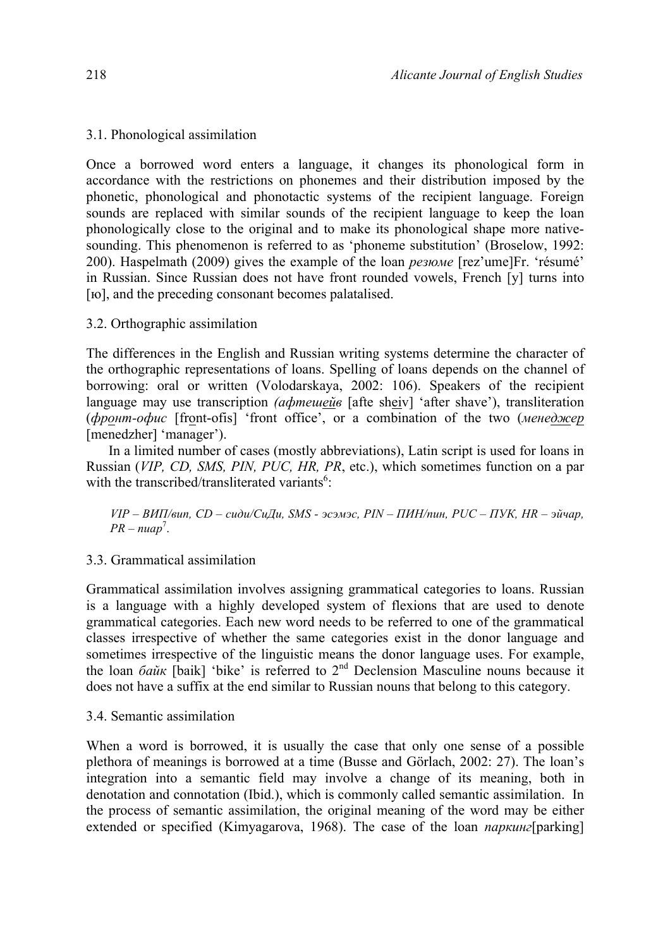# 3.1. Phonological assimilation

Once a borrowed word enters a language, it changes its phonological form in accordance with the restrictions on phonemes and their distribution imposed by the phonetic, phonological and phonotactic systems of the recipient language. Foreign sounds are replaced with similar sounds of the recipient language to keep the loan phonologically close to the original and to make its phonological shape more nativesounding. This phenomenon is referred to as 'phoneme substitution' (Broselow, 1992: 200). Haspelmath (2009) gives the example of the loan *резюме* [rez'ume]Fr. 'résumé' in Russian. Since Russian does not have front rounded vowels, French [y] turns into [ $10$ ], and the preceding consonant becomes palatalised.

# 3.2. Orthographic assimilation

The differences in the English and Russian writing systems determine the character of the orthographic representations of loans. Spelling of loans depends on the channel of borrowing: oral or written (Volodarskaya, 2002: 106). Speakers of the recipient language may use transcription *(афтешейв* [afte sheiv] 'after shave'), transliteration (*фронт-офис* [front-ofis] 'front office', or a combination of the two (*менеджер* [menedzher] 'manager').

In a limited number of cases (mostly abbreviations), Latin script is used for loans in Russian (*VIP, CD, SMS, PIN, PUC, HR, PR*, etc.), which sometimes function on a par with the transcribed/transliterated variants<sup>6</sup>:

*VIP – ВИП/вип, CD – сиди/СиДи, SMS - эсэмэс, PIN – ПИН/пин, PUC – ПУК, HR – эйчар,*   $PR - nuap^7$ .

# 3.3. Grammatical assimilation

Grammatical assimilation involves assigning grammatical categories to loans. Russian is a language with a highly developed system of flexions that are used to denote grammatical categories. Each new word needs to be referred to one of the grammatical classes irrespective of whether the same categories exist in the donor language and sometimes irrespective of the linguistic means the donor language uses. For example, the loan *байк* [baik] 'bike' is referred to 2<sup>nd</sup> Declension Masculine nouns because it does not have a suffix at the end similar to Russian nouns that belong to this category.

# 3.4. Semantic assimilation

When a word is borrowed, it is usually the case that only one sense of a possible plethora of meanings is borrowed at a time (Busse and Görlach, 2002: 27). The loan's integration into a semantic field may involve a change of its meaning, both in denotation and connotation (Ibid.), which is commonly called semantic assimilation. In the process of semantic assimilation, the original meaning of the word may be either extended or specified (Kimyagarova, 1968). The case of the loan *паркинг*[parking]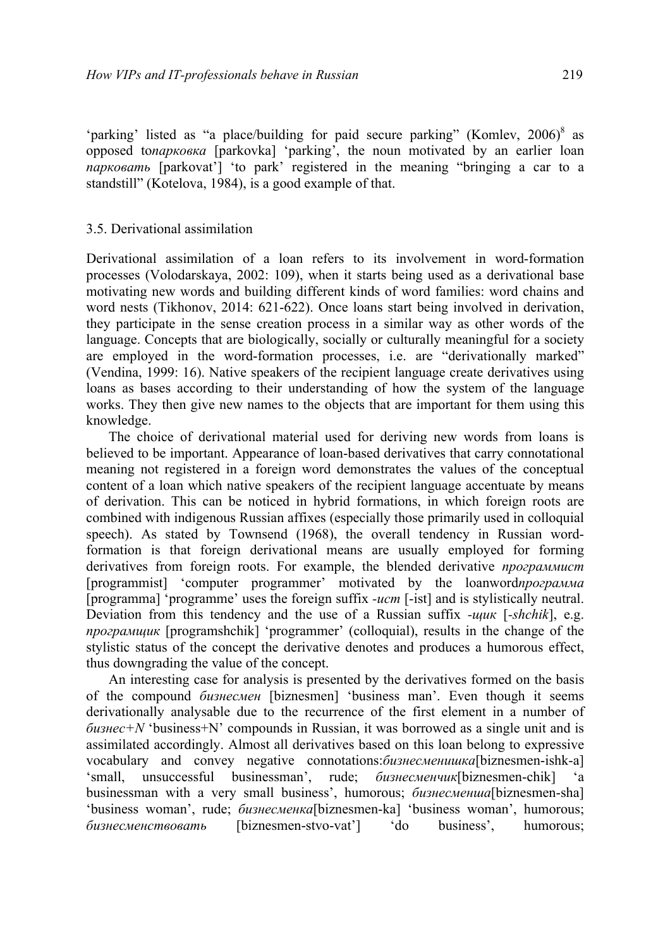'parking' listed as "a place/building for paid secure parking" (Komley, 2006)<sup>8</sup> as opposed to*парковка* [parkovka] 'parking', the noun motivated by an earlier loan *парковать* [parkovat'] 'to park' registered in the meaning "bringing a car to a standstill" (Kotelova, 1984), is a good example of that.

### 3.5. Derivational assimilation

Derivational assimilation of a loan refers to its involvement in word-formation processes (Volodarskaya, 2002: 109), when it starts being used as a derivational base motivating new words and building different kinds of word families: word chains and word nests (Tikhonov, 2014: 621-622). Once loans start being involved in derivation, they participate in the sense creation process in a similar way as other words of the language. Concepts that are biologically, socially or culturally meaningful for a society are employed in the word-formation processes, i.e. are "derivationally marked" (Vendina, 1999: 16). Native speakers of the recipient language create derivatives using loans as bases according to their understanding of how the system of the language works. They then give new names to the objects that are important for them using this knowledge.

The choice of derivational material used for deriving new words from loans is believed to be important. Appearance of loan-based derivatives that carry connotational meaning not registered in a foreign word demonstrates the values of the conceptual content of a loan which native speakers of the recipient language accentuate by means of derivation. This can be noticed in hybrid formations, in which foreign roots are combined with indigenous Russian affixes (especially those primarily used in colloquial speech). As stated by Townsend (1968), the overall tendency in Russian wordformation is that foreign derivational means are usually employed for forming derivatives from foreign roots. For example, the blended derivative *программист* [programmist] 'computer programmer' motivated by the loanword*программа* [programma] 'programme' uses the foreign suffix *-ucm* [-ist] and is stylistically neutral. Deviation from this tendency and the use of a Russian suffix *-щик* [*-shchik*], e.g. *програмщик* [programshchik] 'programmer' (colloquial), results in the change of the stylistic status of the concept the derivative denotes and produces a humorous effect, thus downgrading the value of the concept.

An interesting case for analysis is presented by the derivatives formed on the basis of the compound *бизнесмен* [biznesmen] 'business man'. Even though it seems derivationally analysable due to the recurrence of the first element in a number of *бизнес+N* 'business+N' compounds in Russian, it was borrowed as a single unit and is assimilated accordingly. Almost all derivatives based on this loan belong to expressive vocabulary and convey negative connotations:*бизнесменишка*[biznesmen-ishk-a] 'small, unsuccessful businessman', rude; *бизнесменчик*[biznesmen-chik] 'a businessman with a very small business', humorous; *бизнесменша*[biznesmen-sha] 'business woman', rude; *бизнесменка*[biznesmen-ka] 'business woman', humorous; *бизнесменствовать* [biznesmen-stvo-vat'] 'do business', humorous;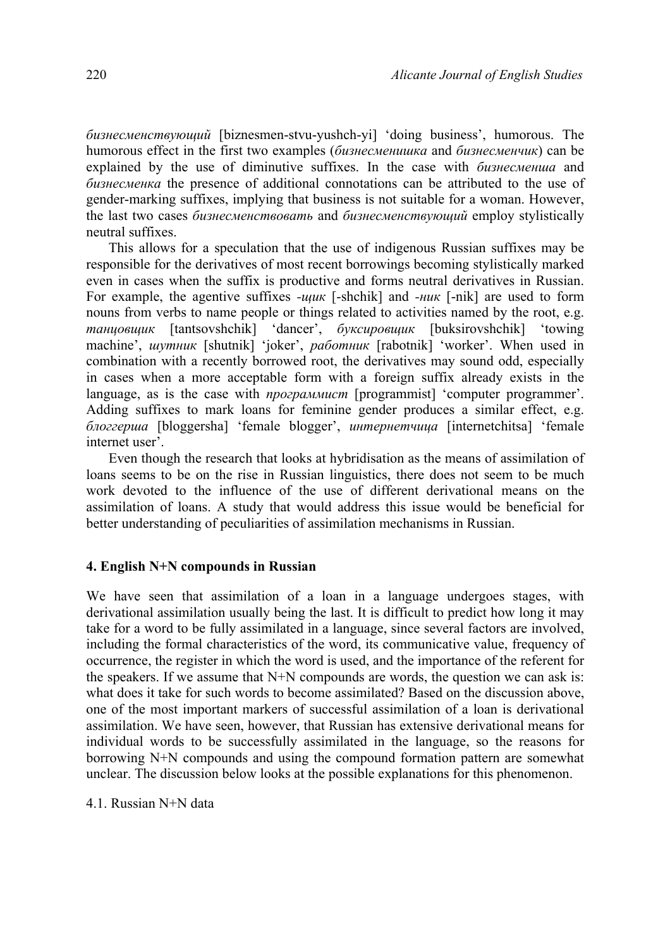*бизнесменствующий* [biznesmen-stvu-yushch-yi] 'doing business', humorous. The humorous effect in the first two examples (*бизнесменишка* and *бизнесменчик*) can be explained by the use of diminutive suffixes. In the case with *бизнесменша* and *бизнесменка* the presence of additional connotations can be attributed to the use of gender-marking suffixes, implying that business is not suitable for a woman. However, the last two cases *бизнесменствовать* and *бизнесменствующий* employ stylistically neutral suffixes.

This allows for a speculation that the use of indigenous Russian suffixes may be responsible for the derivatives of most recent borrowings becoming stylistically marked even in cases when the suffix is productive and forms neutral derivatives in Russian. For example, the agentive suffixes *-щик* [-shchik] and *-ник* [-nik] are used to form nouns from verbs to name people or things related to activities named by the root, e.g. *танцовщик* [tantsovshchik] 'dancer', *буксировщик* [buksirovshchik] 'towing machine', *шутник* [shutnik] 'joker', *работник* [rabotnik] 'worker'. When used in combination with a recently borrowed root, the derivatives may sound odd, especially in cases when a more acceptable form with a foreign suffix already exists in the language, as is the case with *программист* [programmist] 'computer programmer'. Adding suffixes to mark loans for feminine gender produces a similar effect, e.g. *блоггерша* [bloggersha] 'female blogger', *интернетчица* [internetchitsa] 'female internet user'.

Even though the research that looks at hybridisation as the means of assimilation of loans seems to be on the rise in Russian linguistics, there does not seem to be much work devoted to the influence of the use of different derivational means on the assimilation of loans. A study that would address this issue would be beneficial for better understanding of peculiarities of assimilation mechanisms in Russian.

### **4. English N+N compounds in Russian**

We have seen that assimilation of a loan in a language undergoes stages, with derivational assimilation usually being the last. It is difficult to predict how long it may take for a word to be fully assimilated in a language, since several factors are involved, including the formal characteristics of the word, its communicative value, frequency of occurrence, the register in which the word is used, and the importance of the referent for the speakers. If we assume that N+N compounds are words, the question we can ask is: what does it take for such words to become assimilated? Based on the discussion above, one of the most important markers of successful assimilation of a loan is derivational assimilation. We have seen, however, that Russian has extensive derivational means for individual words to be successfully assimilated in the language, so the reasons for borrowing N+N compounds and using the compound formation pattern are somewhat unclear. The discussion below looks at the possible explanations for this phenomenon.

4.1. Russian N+N data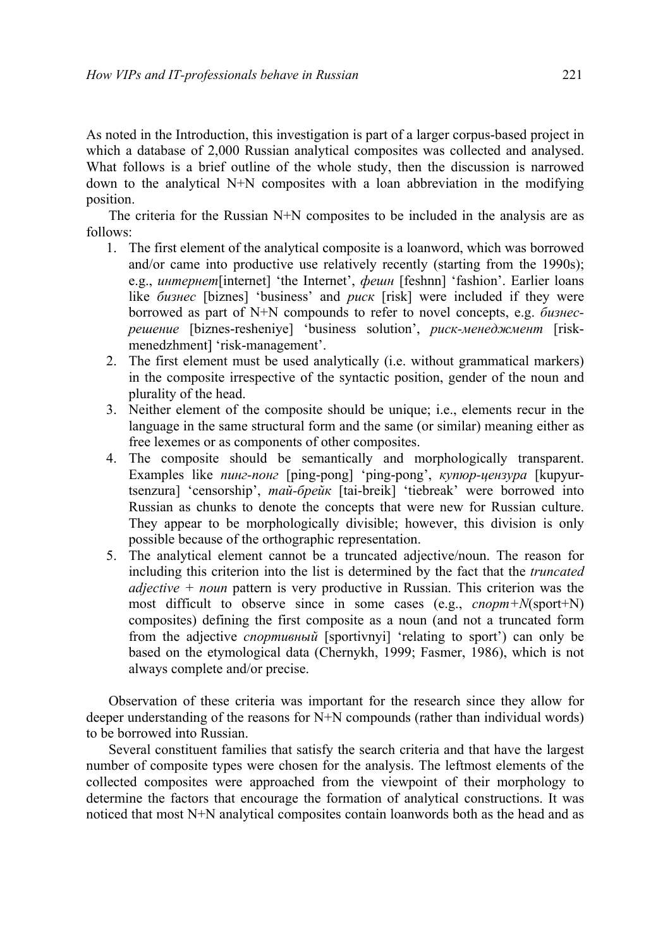As noted in the Introduction, this investigation is part of a larger corpus-based project in which a database of 2,000 Russian analytical composites was collected and analysed. What follows is a brief outline of the whole study, then the discussion is narrowed down to the analytical N+N composites with a loan abbreviation in the modifying position.

The criteria for the Russian N+N composites to be included in the analysis are as follows:

- 1. The first element of the analytical composite is a loanword, which was borrowed and/or came into productive use relatively recently (starting from the 1990s); e.g., *интернет*[internet] 'the Internet', *фешн* [feshnn] 'fashion'. Earlier loans like *бизнес* [biznes] 'business' and *риск* [risk] were included if they were borrowed as part of N+N compounds to refer to novel concepts, e.g. *бизнесрешение* [biznes-resheniye] 'business solution', *риск-менеджмент* [riskmenedzhment] 'risk-management'.
- 2. The first element must be used analytically (i.e. without grammatical markers) in the composite irrespective of the syntactic position, gender of the noun and plurality of the head.
- 3. Neither element of the composite should be unique; i.e., elements recur in the language in the same structural form and the same (or similar) meaning either as free lexemes or as components of other composites.
- 4. The composite should be semantically and morphologically transparent. Examples like *пинг-понг* [ping-pong] 'ping-pong', *купюр-цензура* [kupyurtsenzura] 'censorship', *тай-брейк* [tai-breik] 'tiebreak' were borrowed into Russian as chunks to denote the concepts that were new for Russian culture. They appear to be morphologically divisible; however, this division is only possible because of the orthographic representation.
- 5. The analytical element cannot be a truncated adjective/noun. The reason for including this criterion into the list is determined by the fact that the *truncated adjective + noun* pattern is very productive in Russian. This criterion was the most difficult to observe since in some cases (e.g., *спорт+N*(sport+N) composites) defining the first composite as a noun (and not a truncated form from the adjective *спортивный* [sportivnyi] 'relating to sport') can only be based on the etymological data (Chernykh, 1999; Fasmer, 1986), which is not always complete and/or precise.

Observation of these criteria was important for the research since they allow for deeper understanding of the reasons for N+N compounds (rather than individual words) to be borrowed into Russian.

Several constituent families that satisfy the search criteria and that have the largest number of composite types were chosen for the analysis. The leftmost elements of the collected composites were approached from the viewpoint of their morphology to determine the factors that encourage the formation of analytical constructions. It was noticed that most N+N analytical composites contain loanwords both as the head and as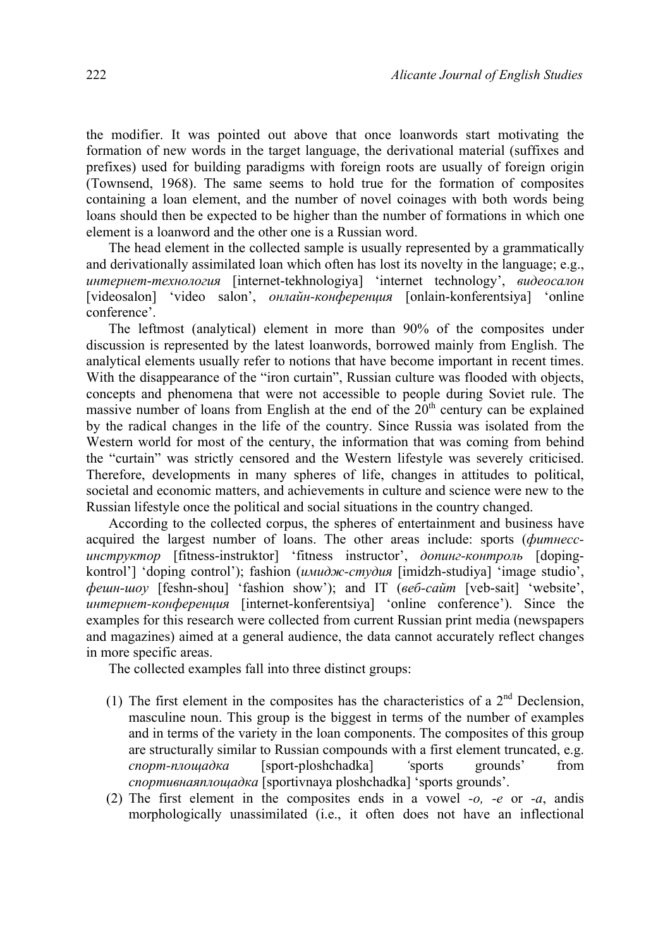the modifier. It was pointed out above that once loanwords start motivating the formation of new words in the target language, the derivational material (suffixes and prefixes) used for building paradigms with foreign roots are usually of foreign origin (Townsend, 1968). The same seems to hold true for the formation of composites containing a loan element, and the number of novel coinages with both words being loans should then be expected to be higher than the number of formations in which one element is a loanword and the other one is a Russian word.

The head element in the collected sample is usually represented by a grammatically and derivationally assimilated loan which often has lost its novelty in the language; e.g., *интернет*-*технология* [internet-tekhnologiya] 'internet technology', *видеосалон* [videosalon] 'video salon', *онлайн-конференция* [onlain-konferentsiya] 'online conference'.

The leftmost (analytical) element in more than 90% of the composites under discussion is represented by the latest loanwords, borrowed mainly from English. The analytical elements usually refer to notions that have become important in recent times. With the disappearance of the "iron curtain", Russian culture was flooded with objects, concepts and phenomena that were not accessible to people during Soviet rule. The massive number of loans from English at the end of the  $20<sup>th</sup>$  century can be explained by the radical changes in the life of the country. Since Russia was isolated from the Western world for most of the century, the information that was coming from behind the "curtain" was strictly censored and the Western lifestyle was severely criticised. Therefore, developments in many spheres of life, changes in attitudes to political, societal and economic matters, and achievements in culture and science were new to the Russian lifestyle once the political and social situations in the country changed.

According to the collected corpus, the spheres of entertainment and business have acquired the largest number of loans. The other areas include: sports (*фитнессинструктор* [fitness-instruktor] 'fitness instructor', *допинг-контроль* [dopingkontrol'] 'doping control'); fashion (*имидж-студия* [imidzh-studiya] 'image studio', *фешн-шоу* [feshn-shou] 'fashion show'); and IT (*веб-сайт* [veb-sait] 'website', *интернет-конференция* [internet-konferentsiya] 'online conference'). Since the examples for this research were collected from current Russian print media (newspapers and magazines) aimed at a general audience, the data cannot accurately reflect changes in more specific areas.

The collected examples fall into three distinct groups:

- (1) The first element in the composites has the characteristics of a  $2<sup>nd</sup>$  Declension, masculine noun. This group is the biggest in terms of the number of examples and in terms of the variety in the loan components. The composites of this group are structurally similar to Russian compounds with a first element truncated, e.g. *спорт-площадка* [sport-ploshchadka] *'*sports grounds' from *спортивнаяплощадка* [sportivnaya ploshchadka] 'sports grounds'.
- (2) The first element in the composites ends in a vowel *-o, -e* or *-a*, andis morphologically unassimilated (i.e., it often does not have an inflectional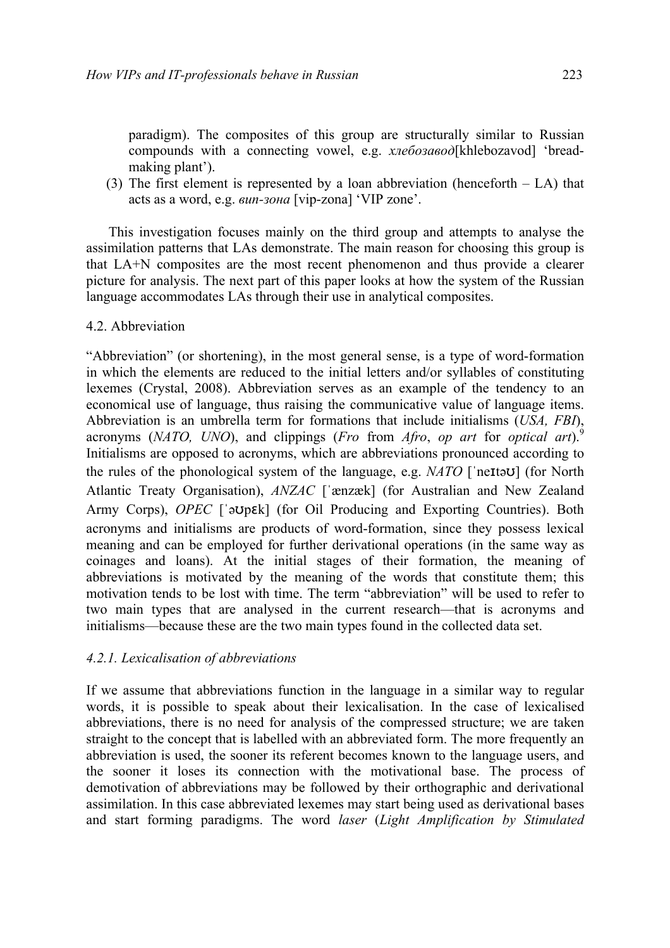paradigm). The composites of this group are structurally similar to Russian compounds with a connecting vowel, e.g. *хлебозавод*[khlebozavod] 'breadmaking plant').

(3) The first element is represented by a loan abbreviation (henceforth – LA) that acts as a word, e.g. *вип-зона* [vip-zona] 'VIP zone'.

This investigation focuses mainly on the third group and attempts to analyse the assimilation patterns that LAs demonstrate. The main reason for choosing this group is that LA+N composites are the most recent phenomenon and thus provide a clearer picture for analysis. The next part of this paper looks at how the system of the Russian language accommodates LAs through their use in analytical composites.

### 4.2. Abbreviation

"Abbreviation" (or shortening), in the most general sense, is a type of word-formation in which the elements are reduced to the initial letters and/or syllables of constituting lexemes (Crystal, 2008). Abbreviation serves as an example of the tendency to an economical use of language, thus raising the communicative value of language items. Abbreviation is an umbrella term for formations that include initialisms (*USA, FBI*), acronyms (*NATO, UNO*), and clippings (*Fro* from *Afro*, *op art* for *optical art*). 9 Initialisms are opposed to acronyms, which are abbreviations pronounced according to the rules of the phonological system of the language, e.g. *NATO* [ˈneɪtəʊ] (for North Atlantic Treaty Organisation), *ANZAC* [ˈænzæk] (for Australian and New Zealand Army Corps), *OPEC* [ˈəʊpɛk] (for Oil Producing and Exporting Countries). Both acronyms and initialisms are products of word-formation, since they possess lexical meaning and can be employed for further derivational operations (in the same way as coinages and loans). At the initial stages of their formation, the meaning of abbreviations is motivated by the meaning of the words that constitute them; this motivation tends to be lost with time. The term "abbreviation" will be used to refer to two main types that are analysed in the current research—that is acronyms and initialisms—because these are the two main types found in the collected data set.

# *4.2.1. Lexicalisation of abbreviations*

If we assume that abbreviations function in the language in a similar way to regular words, it is possible to speak about their lexicalisation. In the case of lexicalised abbreviations, there is no need for analysis of the compressed structure; we are taken straight to the concept that is labelled with an abbreviated form. The more frequently an abbreviation is used, the sooner its referent becomes known to the language users, and the sooner it loses its connection with the motivational base. The process of demotivation of abbreviations may be followed by their orthographic and derivational assimilation. In this case abbreviated lexemes may start being used as derivational bases and start forming paradigms. The word *laser* (*Light Amplification by Stimulated*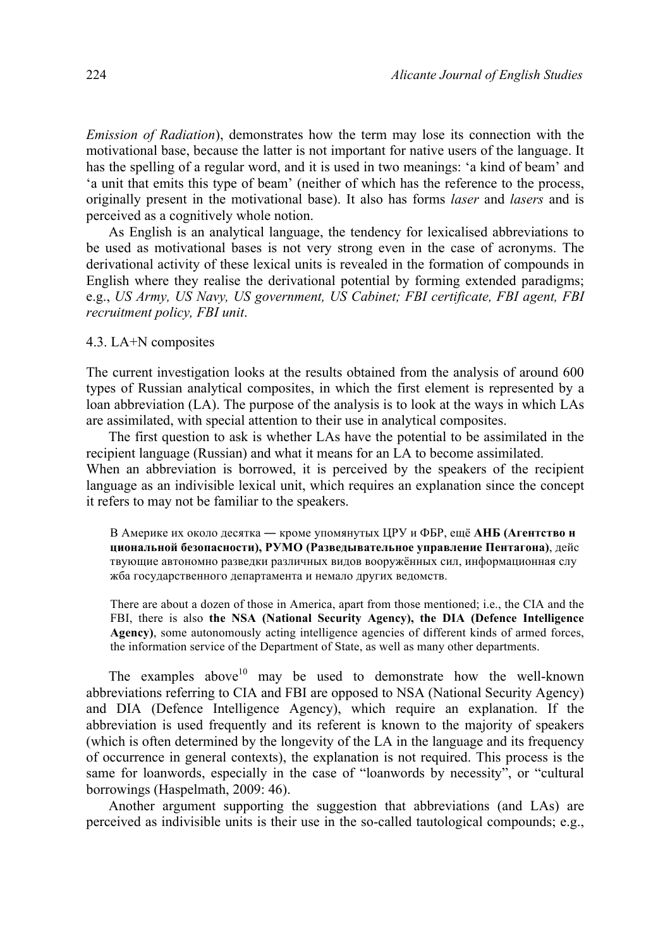*Emission of Radiation*), demonstrates how the term may lose its connection with the motivational base, because the latter is not important for native users of the language. It has the spelling of a regular word, and it is used in two meanings: 'a kind of beam' and 'a unit that emits this type of beam' (neither of which has the reference to the process, originally present in the motivational base). It also has forms *laser* and *lasers* and is perceived as a cognitively whole notion.

As English is an analytical language, the tendency for lexicalised abbreviations to be used as motivational bases is not very strong even in the case of acronyms. The derivational activity of these lexical units is revealed in the formation of compounds in English where they realise the derivational potential by forming extended paradigms; e.g., *US Army, US Navy, US government, US Cabinet; FBI certificate, FBI agent, FBI recruitment policy, FBI unit*.

### 4.3. LA+N composites

The current investigation looks at the results obtained from the analysis of around 600 types of Russian analytical composites, in which the first element is represented by a loan abbreviation (LA). The purpose of the analysis is to look at the ways in which LAs are assimilated, with special attention to their use in analytical composites.

The first question to ask is whether LAs have the potential to be assimilated in the recipient language (Russian) and what it means for an LA to become assimilated. When an abbreviation is borrowed, it is perceived by the speakers of the recipient language as an indivisible lexical unit, which requires an explanation since the concept it refers to may not be familiar to the speakers.

В Амeрике их около десятка ― кроме упомянутых ЦРУ и ФБР, ещё **АНБ (Агентство н циональной безопасности), РУМО (Разведывательное управление Пентагонa)**, дейс твующие автономно разведки различных видов вооружённых сил, информационная слу жба государственного департамента и немало других ведомств.

There are about a dozen of those in America, apart from those mentioned; i.e., the CIA and the FBI, there is also **the NSA (National Security Agency), the DIA (Defence Intelligence Agency)**, some autonomously acting intelligence agencies of different kinds of armed forces, the information service of the Department of State, as well as many other departments.

The examples above<sup>10</sup> may be used to demonstrate how the well-known abbreviations referring to CIA and FBI are opposed to NSA (National Security Agency) and DIA (Defence Intelligence Agency), which require an explanation. If the abbreviation is used frequently and its referent is known to the majority of speakers (which is often determined by the longevity of the LA in the language and its frequency of occurrence in general contexts), the explanation is not required. This process is the same for loanwords, especially in the case of "loanwords by necessity", or "cultural borrowings (Haspelmath, 2009: 46).

Another argument supporting the suggestion that abbreviations (and LAs) are perceived as indivisible units is their use in the so-called tautological compounds; e.g.,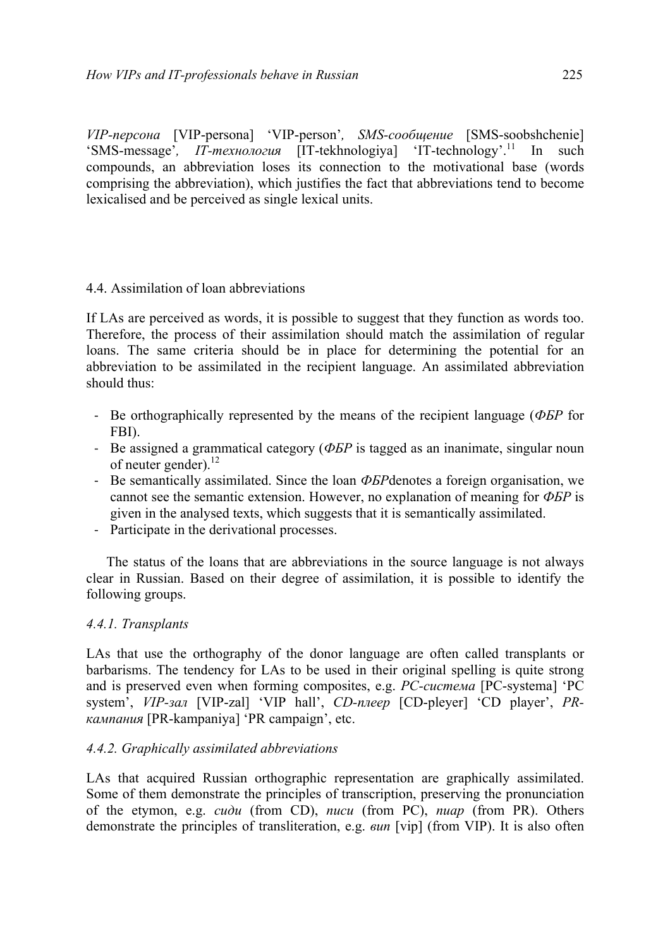*VIP-персона* [VIP-persona] 'VIP-person'*, SMS-сообщение* [SMS-soobshchenie] 'SMS-message', IT-технология [IT-tekhnologiya] 'IT-technology'.<sup>11</sup> In such compounds, an abbreviation loses its connection to the motivational base (words comprising the abbreviation), which justifies the fact that abbreviations tend to become lexicalised and be perceived as single lexical units.

# 4.4. Assimilation of loan abbreviations

If LAs are perceived as words, it is possible to suggest that they function as words too. Therefore, the process of their assimilation should match the assimilation of regular loans. The same criteria should be in place for determining the potential for an abbreviation to be assimilated in the recipient language. An assimilated abbreviation should thus:

- Be orthographically represented by the means of the recipient language (*ФБР* for FBI).
- Be assigned a grammatical category (*ФБР* is tagged as an inanimate, singular noun of neuter gender).<sup>12</sup>
- Be semantically assimilated. Since the loan *ФБР*denotes a foreign organisation, we cannot see the semantic extension. However, no explanation of meaning for *ФБР* is given in the analysed texts, which suggests that it is semantically assimilated.
- Participate in the derivational processes.

The status of the loans that are abbreviations in the source language is not always clear in Russian. Based on their degree of assimilation, it is possible to identify the following groups.

# *4.4.1. Transplants*

LAs that use the orthography of the donor language are often called transplants or barbarisms. The tendency for LAs to be used in their original spelling is quite strong and is preserved even when forming composites, e.g. *PC-система* [PC-systema] 'PC system', *VIP-зал* [VIP-zal] 'VIP hall', *CD-плеер* [CD-pleyer] 'CD player', *PRкампания* [PR-kampaniya] 'PR campaign', etc.

# *4.4.2. Graphically assimilated abbreviations*

LAs that acquired Russian orthographic representation are graphically assimilated. Some of them demonstrate the principles of transcription, preserving the pronunciation of the etymon, e.g. *сиди* (from CD), *писи* (from PC), *пиар* (from PR). Others demonstrate the principles of transliteration, e.g. *вип* [vip] (from VIP). It is also often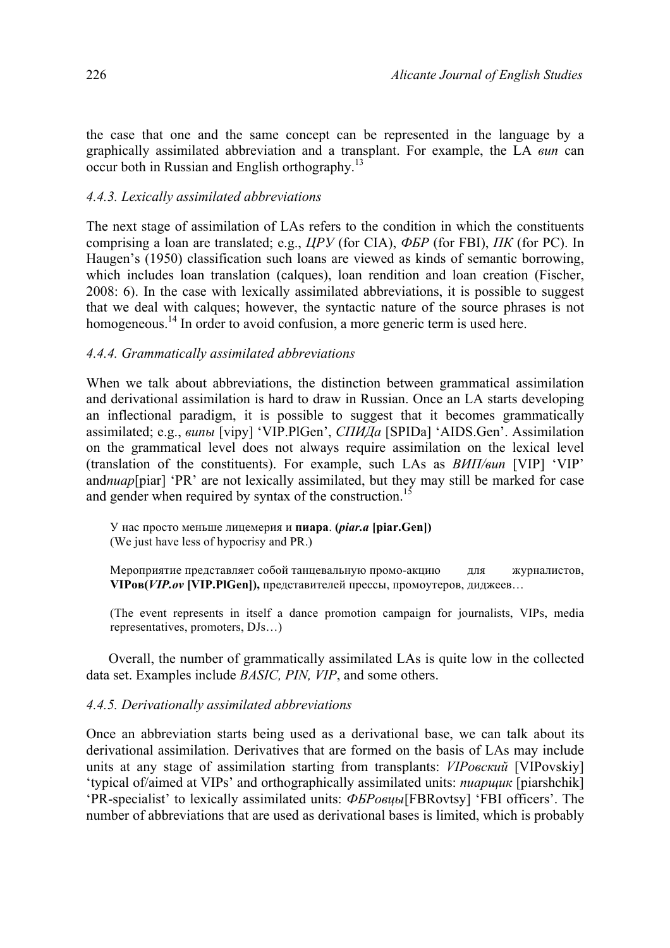the case that one and the same concept can be represented in the language by a graphically assimilated abbreviation and a transplant. For example, the LA *вип* can occur both in Russian and English orthography.13

# *4.4.3. Lexically assimilated abbreviations*

The next stage of assimilation of LAs refers to the condition in which the constituents comprising a loan are translated; e.g., *ЦРУ* (for CIA), *ФБР* (for FBI), *ПК* (for PC). In Haugen's (1950) classification such loans are viewed as kinds of semantic borrowing, which includes loan translation (calques), loan rendition and loan creation (Fischer, 2008: 6). In the case with lexically assimilated abbreviations, it is possible to suggest that we deal with calques; however, the syntactic nature of the source phrases is not homogeneous.<sup>14</sup> In order to avoid confusion, a more generic term is used here.

# *4.4.4. Grammatically assimilated abbreviations*

When we talk about abbreviations, the distinction between grammatical assimilation and derivational assimilation is hard to draw in Russian. Once an LA starts developing an inflectional paradigm, it is possible to suggest that it becomes grammatically assimilated; e.g., *випы* [vipy] 'VIP.PlGen', *СПИДа* [SPIDa] 'AIDS.Gen'. Assimilation on the grammatical level does not always require assimilation on the lexical level (translation of the constituents). For example, such LAs as *ВИП/вип* [VIP] 'VIP' and*пиар*[piar] 'PR' are not lexically assimilated, but they may still be marked for case and gender when required by syntax of the construction.<sup>15</sup>

У нас просто меньше лицемерия и **пиара**. **(***piar.a* **[piar.Gen])**  (We just have less of hypocrisy and PR.)

Мероприятие представляет собой танцевальную промо-акцию для журналистов, **VIPов(***VIP.ov* **[VIP.PlGen]),** представителей прессы, промоутеров, диджеев…

(The event represents in itself a dance promotion campaign for journalists, VIPs, media representatives, promoters, DJs…)

Overall, the number of grammatically assimilated LAs is quite low in the collected data set. Examples include *BASIC, PIN, VIP*, and some others.

# *4.4.5. Derivationally assimilated abbreviations*

Once an abbreviation starts being used as a derivational base, we can talk about its derivational assimilation. Derivatives that are formed on the basis of LAs may include units at any stage of assimilation starting from transplants: *VIPовский* [VIPovskiy] 'typical of/aimed at VIPs' and orthographically assimilated units: *пиарщик* [piarshchik] 'PR-specialist' to lexically assimilated units: *ФБРовцы*[FBRovtsy] 'FBI officers'. The number of abbreviations that are used as derivational bases is limited, which is probably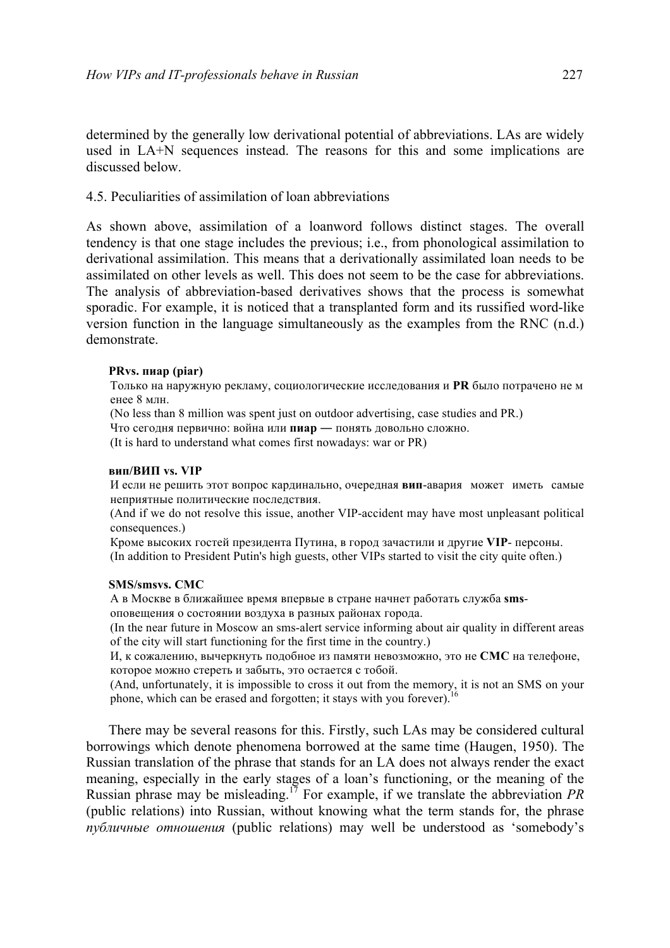determined by the generally low derivational potential of abbreviations. LAs are widely used in LA+N sequences instead. The reasons for this and some implications are discussed below.

## 4.5. Peculiarities of assimilation of loan abbreviations

As shown above, assimilation of a loanword follows distinct stages. The overall tendency is that one stage includes the previous; i.e., from phonological assimilation to derivational assimilation. This means that a derivationally assimilated loan needs to be assimilated on other levels as well. This does not seem to be the case for abbreviations. The analysis of abbreviation-based derivatives shows that the process is somewhat sporadic. For example, it is noticed that a transplanted form and its russified word-like version function in the language simultaneously as the examples from the RNC (n.d.) demonstrate.

### **PRvs. пиар (piar)**

Только на наружную рекламу, социологические исследования и **PR** было потрачено не м енее 8 млн.

(No less than 8 million was spent just on outdoor advertising, case studies and PR.)

Что сегодня первично: война или **пиар** ― понять довольно сложно.

(It is hard to understand what comes first nowadays: war or PR)

#### **вип/ВИП vs. VIP**

И если не решить этот вопрос кардинально, очередная **вип**-авaрия может иметь самые неприятные политические последствия.

(And if we do not resolve this issue, another VIP-accident may have most unpleasant political consequences.)

Кроме высоких гостей президента Путина, в город зачастили и другие **VIP**- персоны. (In addition to President Putin's high guests, other VIPs started to visit the city quite often.)

#### **SMS/smsvs. СМС**

А в Москве в ближайшее время впервые в стране начнет работать служба **sms**-

оповещения о состоянии воздуха в разных районах города.

(In the near future in Moscow an sms-alert service informing about air quality in different areas of the city will start functioning for the first time in the country.)

И, к сожалению, вычеркнуть подобное из памяти невозможно, это не **СМС** на телефоне, которое можно стереть и забыть, это остается с тобой.

(And, unfortunately, it is impossible to cross it out from the memory, it is not an SMS on your phone, which can be erased and forgotten; it stays with you forever).<sup>16</sup>

There may be several reasons for this. Firstly, such LAs may be considered cultural borrowings which denote phenomena borrowed at the same time (Haugen, 1950). The Russian translation of the phrase that stands for an LA does not always render the exact meaning, especially in the early stages of a loan's functioning, or the meaning of the Russian phrase may be misleading.17 For example, if we translate the abbreviation *PR* (public relations) into Russian, without knowing what the term stands for, the phrase *публичные отношения* (public relations) may well be understood as 'somebody's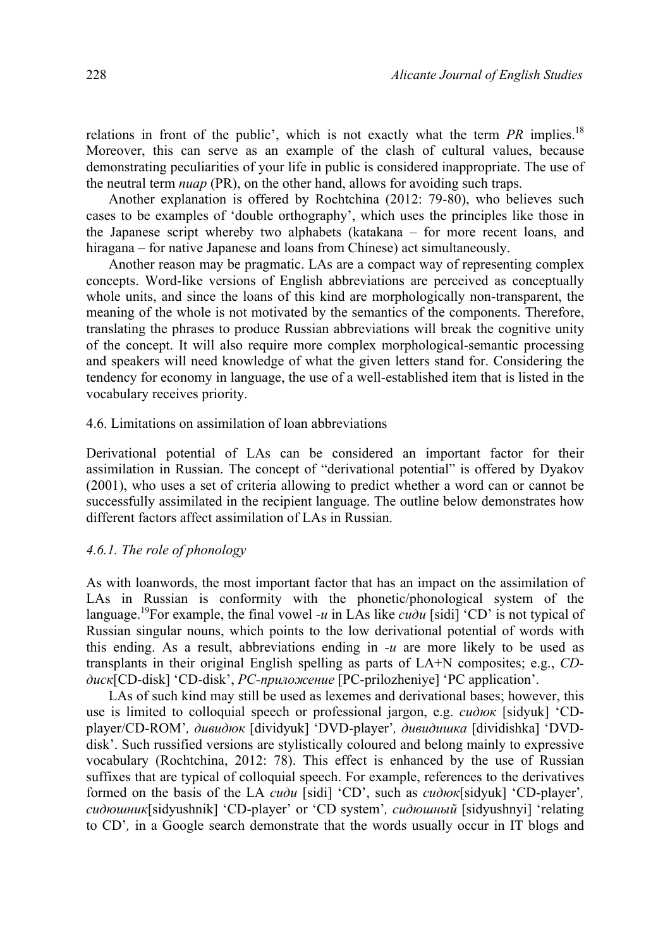relations in front of the public', which is not exactly what the term *PR* implies.<sup>18</sup> Moreover, this can serve as an example of the clash of cultural values, because demonstrating peculiarities of your life in public is considered inappropriate. The use of the neutral term *пиар* (PR), on the other hand, allows for avoiding such traps.

Another explanation is offered by Rochtchina (2012: 79-80), who believes such cases to be examples of 'double orthography', which uses the principles like those in the Japanese script whereby two alphabets (katakana – for more recent loans, and hiragana – for native Japanese and loans from Chinese) act simultaneously.

Another reason may be pragmatic. LAs are a compact way of representing complex concepts. Word-like versions of English abbreviations are perceived as conceptually whole units, and since the loans of this kind are morphologically non-transparent, the meaning of the whole is not motivated by the semantics of the components. Therefore, translating the phrases to produce Russian abbreviations will break the cognitive unity of the concept. It will also require more complex morphological-semantic processing and speakers will need knowledge of what the given letters stand for. Considering the tendency for economy in language, the use of a well-established item that is listed in the vocabulary receives priority.

### 4.6. Limitations on assimilation of loan abbreviations

Derivational potential of LAs can be considered an important factor for their assimilation in Russian. The concept of "derivational potential" is offered by Dyakov (2001), who uses a set of criteria allowing to predict whether a word can or cannot be successfully assimilated in the recipient language. The outline below demonstrates how different factors affect assimilation of LAs in Russian.

## *4.6.1. The role of phonology*

As with loanwords, the most important factor that has an impact on the assimilation of LAs in Russian is conformity with the phonetic/phonological system of the language.<sup>19</sup> For example, the final vowel *-u* in LAs like  $\vec{c}u\partial u$  [sidi] 'CD' is not typical of Russian singular nouns, which points to the low derivational potential of words with this ending. As a result, abbreviations ending in *-и* are more likely to be used as transplants in their original English spelling as parts of LA+N composites; e.g., *CDдиск*[CD-disk] 'CD-disk', *PC-приложение* [PC-prilozheniye] 'PC application'.

LAs of such kind may still be used as lexemes and derivational bases; however, this use is limited to colloquial speech or professional jargon, e.g. *сидюк* [sidyuk] 'CDplayer/CD-ROM'*, дивидюк* [dividyuk] 'DVD-player'*, дивидишка* [dividishka] 'DVDdisk'. Such russified versions are stylistically coloured and belong mainly to expressive vocabulary (Rochtchina, 2012: 78). This effect is enhanced by the use of Russian suffixes that are typical of colloquial speech. For example, references to the derivatives formed on the basis of the LA *сиди* [sidi] 'CD', such as *сидюк*[sidyuk] 'CD-player'*, сидюшник*[sidyushnik] 'CD-player' or 'CD system'*, сидюшный* [sidyushnyi] 'relating to CD'*,* in a Google search demonstrate that the words usually occur in IT blogs and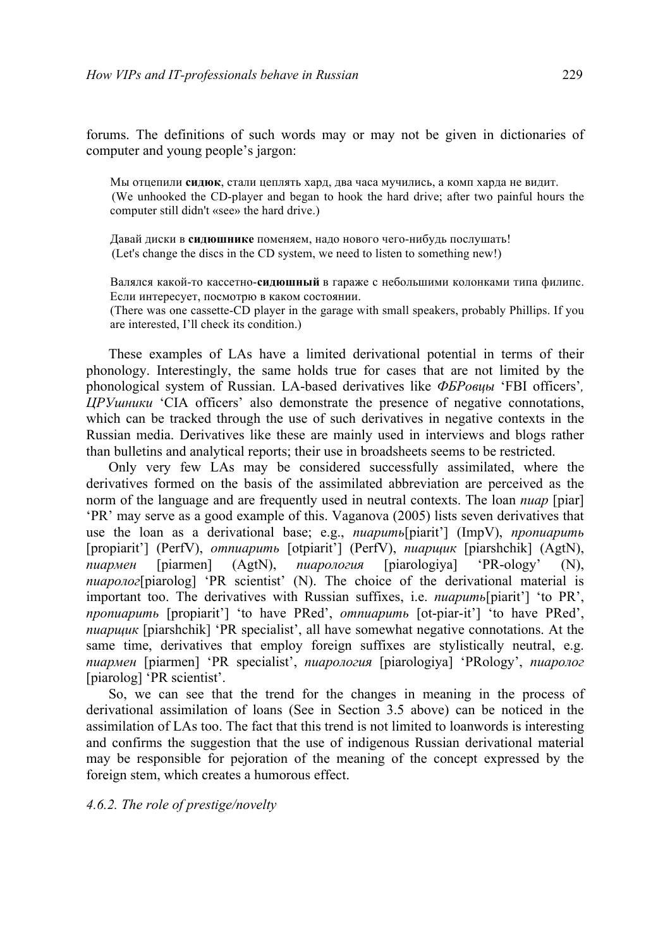forums. The definitions of such words may or may not be given in dictionaries of computer and young people's jargon:

Мы отцепили **сидюк**, стали цеплять хард, два часа мучились, а комп харда не видит. (We unhooked the CD-player and began to hook the hard drive; after two painful hours the computer still didn't «see» the hard drive.)

Давай диски в **сидюшнике** поменяем, надо нового чего-нибудь послушать! (Let's change the discs in the CD system, we need to listen to something new!)

Валялся какой-то кассетно-**сидюшный** в гараже с небольшими колонками типа филипс. Если интересует, посмотрю в каком состоянии.

(There was one cassette-CD player in the garage with small speakers, probably Phillips. If you are interested, I'll check its condition.)

These examples of LAs have a limited derivational potential in terms of their phonology. Interestingly, the same holds true for cases that are not limited by the phonological system of Russian. LA-based derivatives like *ФБРовцы* 'FBI officers'*, ЦРУшники* 'CIA officers' also demonstrate the presence of negative connotations, which can be tracked through the use of such derivatives in negative contexts in the Russian media. Derivatives like these are mainly used in interviews and blogs rather than bulletins and analytical reports; their use in broadsheets seems to be restricted.

Only very few LAs may be considered successfully assimilated, where the derivatives formed on the basis of the assimilated abbreviation are perceived as the norm of the language and are frequently used in neutral contexts. The loan *пиар* [piar] 'PR' may serve as a good example of this. Vaganova (2005) lists seven derivatives that use the loan as a derivational base; e.g., *пиарить*[piarit'] (ImpV), *пропиарить* [propiarit'] (PerfV), *отпиарить* [otpiarit'] (PerfV), *пиарщик* [piarshchik] (AgtN), *пиармен* [piarmen] (AgtN), *пиарология* [piarologiya] 'PR-ology' (N), *пиаролог*[piarolog] 'PR scientist' (N). The choice of the derivational material is important too. The derivatives with Russian suffixes, i.e. *пиарить*[piarit'] 'to PR', *пропиарить* [propiarit'] 'to have PRed', *отпиарить* [ot-piar-it'] 'to have PRed', *пиарщик* [piarshchik] 'PR specialist', all have somewhat negative connotations. At the same time, derivatives that employ foreign suffixes are stylistically neutral, e.g. *пиармен* [piarmen] 'PR specialist', *пиарология* [piarologiya] 'PRology', *пиаролог* [piarolog] 'PR scientist'.

So, we can see that the trend for the changes in meaning in the process of derivational assimilation of loans (See in Section 3.5 above) can be noticed in the assimilation of LAs too. The fact that this trend is not limited to loanwords is interesting and confirms the suggestion that the use of indigenous Russian derivational material may be responsible for pejoration of the meaning of the concept expressed by the foreign stem, which creates a humorous effect.

*4.6.2. The role of prestige/novelty*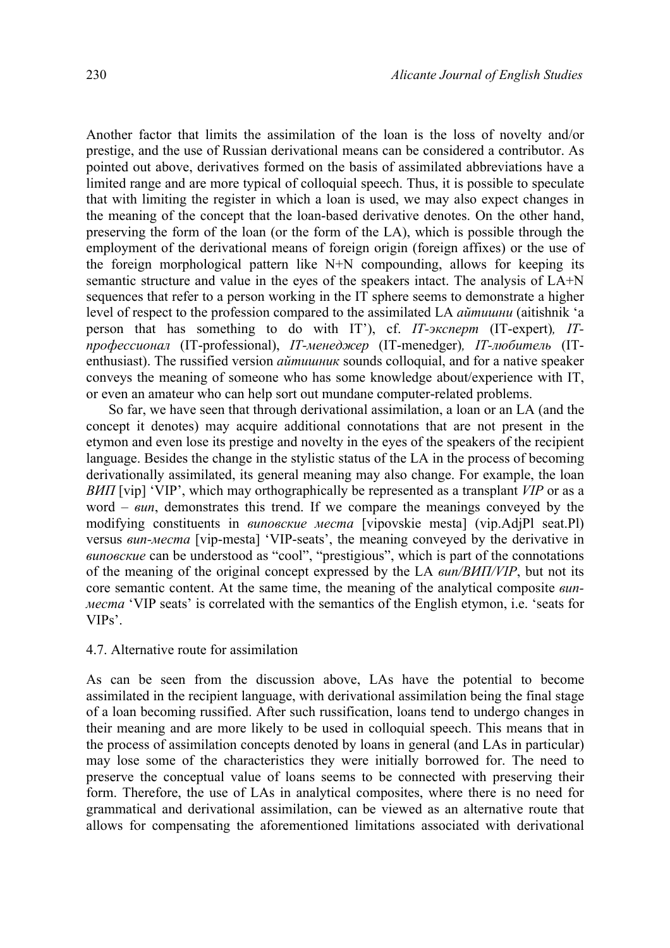Another factor that limits the assimilation of the loan is the loss of novelty and/or prestige, and the use of Russian derivational means can be considered a contributor. As pointed out above, derivatives formed on the basis of assimilated abbreviations have a limited range and are more typical of colloquial speech. Thus, it is possible to speculate that with limiting the register in which a loan is used, we may also expect changes in the meaning of the concept that the loan-based derivative denotes. On the other hand, preserving the form of the loan (or the form of the LA), which is possible through the employment of the derivational means of foreign origin (foreign affixes) or the use of the foreign morphological pattern like N+N compounding, allows for keeping its semantic structure and value in the eyes of the speakers intact. The analysis of LA+N sequences that refer to a person working in the IT sphere seems to demonstrate a higher level of respect to the profession compared to the assimilated LA *айтишни* (aitishnik 'a person that has something to do with IT'), cf. *IT-эксперт* (IT-expert)*, ITпрофессионал* (IT-professional), *IT-менеджер* (IT-menedger)*, IT-любитель* (ITenthusiast). The russified version *айтишник* sounds colloquial, and for a native speaker conveys the meaning of someone who has some knowledge about/experience with IT, or even an amateur who can help sort out mundane computer-related problems.

So far, we have seen that through derivational assimilation, a loan or an LA (and the concept it denotes) may acquire additional connotations that are not present in the etymon and even lose its prestige and novelty in the eyes of the speakers of the recipient language. Besides the change in the stylistic status of the LA in the process of becoming derivationally assimilated, its general meaning may also change. For example, the loan *ВИП* [vip] 'VIP', which may orthographically be represented as a transplant *VIP* or as a word – *вип*, demonstrates this trend. If we compare the meanings conveyed by the modifying constituents in *виповские места* [vipovskie mesta] (vip.AdjPl seat.Pl) versus *вип-места* [vip-mesta] 'VIP-seats', the meaning conveyed by the derivative in *виповские* can be understood as "cool", "prestigious", which is part of the connotations of the meaning of the original concept expressed by the LA *вип/ВИП/VIP*, but not its core semantic content. At the same time, the meaning of the analytical composite *випместа* 'VIP seats' is correlated with the semantics of the English etymon, i.e. 'seats for VIPs'.

## 4.7. Alternative route for assimilation

As can be seen from the discussion above, LAs have the potential to become assimilated in the recipient language, with derivational assimilation being the final stage of a loan becoming russified. After such russification, loans tend to undergo changes in their meaning and are more likely to be used in colloquial speech. This means that in the process of assimilation concepts denoted by loans in general (and LAs in particular) may lose some of the characteristics they were initially borrowed for. The need to preserve the conceptual value of loans seems to be connected with preserving their form. Therefore, the use of LAs in analytical composites, where there is no need for grammatical and derivational assimilation, can be viewed as an alternative route that allows for compensating the aforementioned limitations associated with derivational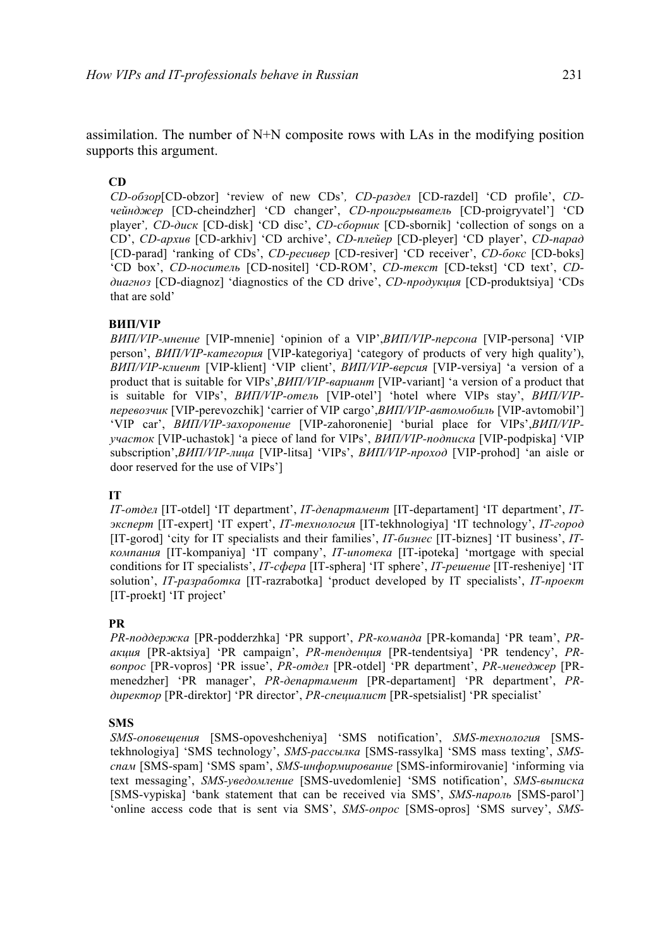assimilation. The number of N+N composite rows with LAs in the modifying position supports this argument.

### **CD**

*CD-oбзор*[CD-obzor] 'review of new CDs'*, CD-раздел* [CD-razdel] 'CD profile', *CDчейнджер* [CD-cheindzher] 'CD changer', *CD-проигрыватель* [CD-proigryvatel'] 'CD player'*, CD-диск* [CD-disk] 'CD disc', *CD-сборник* [CD-sbornik] 'collection of songs on a CD', *CD-архив* [CD-arkhiv] 'CD archive', *CD-плейер* [CD-pleyer] 'CD player', *CD-парад* [CD-parad] 'ranking of CDs', *CD-ресивер* [CD-resiver] 'CD receiver', *CD-бокс* [CD-boks] 'CD box', *CD-носитель* [CD-nositel] 'CD-ROM', *CD-текст* [CD-tekst] 'CD text', *CDдиагноз* [CD-diagnoz] 'diagnostics of the CD drive', *CD-продукция* [CD-produktsiya] 'CDs that are sold'

### **ВИП/VIP**

*ВИП/VIP-мнение* [VIP-mnenie] 'opinion of a VIP',*ВИП/VIP-персона* [VIP-persona] 'VIP person', *ВИП/VIP-категория* [VIP-kategoriya] 'category of products of very high quality'), *ВИП/VIP-клиент* [VIP-klient] 'VIP client', *ВИП/VIP-версия* [VIP-versiya] 'a version of a product that is suitable for VIPs',*ВИП/VIP-вариант* [VIP-variant] 'a version of a product that is suitable for VIPs', *ВИП/VIP-отель* [VIP-otel'] 'hotel where VIPs stay', *ВИП/VIPперевозчик* [VIP-perevozchik] 'carrier of VIP cargo',*ВИП/VIP-автомобиль* [VIP-avtomobil'] 'VIP car', *ВИП/VIP-захоронение* [VIP-zahoronenie] 'burial place for VIPs',*ВИП/VIPучасток* [VIP-uchastok] 'a piece of land for VIPs', *ВИП/VIP-подписка* [VIP-podpiska] 'VIP subscription',*ВИП/VIP-лица* [VIP-litsa] 'VIPs', *ВИП/VIP-проход* [VIP-prohod] 'an aisle or door reserved for the use of VIPs']

### **IT**

*IT-отдел* [IT-otdel] 'IT department', *IT-департамент* [IT-departament] 'IT department', *ITэксперт* [IT-expert] 'IT expert', *IT-технология* [IT-tekhnologiya] 'IT technology', *IT-город* [IT-gorod] 'city for IT specialists and their families', *IT-бизнес* [IT-biznes] 'IT business', *ITкомпания* [IT-kompaniya] 'IT company', *IT-ипотека* [IT-ipoteka] 'mortgage with special conditions for IT specialists', *IT-сфера* [IT-sphera] 'IT sphere', *IT-решение* [IT-resheniye] 'IT solution', *IT-разработка* [IT-razrabotka] 'product developed by IT specialists', *IT-проект* [IT-proekt] 'IT project'

### **PR**

*PR-поддержка* [PR-podderzhka] 'PR support', *PR-команда* [PR-komanda] 'PR team', *PRакция* [PR-aktsiya] 'PR campaign', *PR-тенденция* [PR-tendentsiya] 'PR tendency', *PRвопрос* [PR-vopros] 'PR issue', *PR-отдел* [PR-otdel] 'PR department', *PR-менеджер* [PRmenedzher] 'PR manager', *PR-департамент* [PR-departament] 'PR department', *PRдиректор* [PR-direktor] 'PR director', *PR-специалист* [PR-spetsialist] 'PR specialist'

### **SMS**

*SMS-оповещения* [SMS-opoveshcheniya] 'SMS notification', *SMS-технология* [SMStekhnologiya] 'SMS technology', *SMS-рассылка* [SMS-rassylka] 'SMS mass texting', *SMSспам* [SMS-spam] 'SMS spam', *SMS-информирование* [SMS-informirovanie] 'informing via text messaging', *SMS-уведомление* [SMS-uvedomlenie] 'SMS notification', *SMS-выписка* [SMS-vypiska] 'bank statement that can be received via SMS', *SMS-пароль* [SMS-parol'] 'online access code that is sent via SMS', *SMS-опрос* [SMS-opros] 'SMS survey', *SMS-*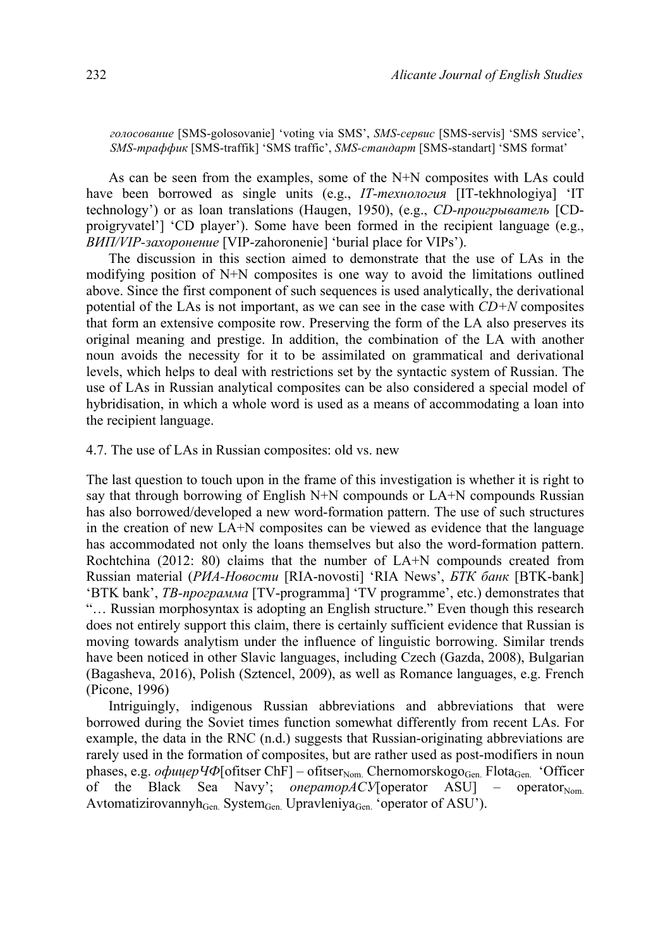*голосование* [SMS-golosovanie] 'voting via SMS', *SMS-сервис* [SMS-servis] 'SMS service', *SMS-траффик* [SMS-traffik] 'SMS traffic', *SMS-стандарт* [SMS-standart] 'SMS format'

As can be seen from the examples, some of the N+N composites with LAs could have been borrowed as single units (e.g., *IT-технология* [IT-tekhnologiya] 'IT technology') or as loan translations (Haugen, 1950), (e.g., *CD-проигрыватель* [CDproigryvatel'] 'CD player'). Some have been formed in the recipient language (e.g., *ВИП/VIP-захоронение* [VIP-zahoronenie] 'burial place for VIPs').

The discussion in this section aimed to demonstrate that the use of LAs in the modifying position of N+N composites is one way to avoid the limitations outlined above. Since the first component of such sequences is used analytically, the derivational potential of the LAs is not important, as we can see in the case with *CD+N* composites that form an extensive composite row. Preserving the form of the LA also preserves its original meaning and prestige. In addition, the combination of the LA with another noun avoids the necessity for it to be assimilated on grammatical and derivational levels, which helps to deal with restrictions set by the syntactic system of Russian. The use of LAs in Russian analytical composites can be also considered a special model of hybridisation, in which a whole word is used as a means of accommodating a loan into the recipient language.

4.7. The use of LAs in Russian composites: old vs. new

The last question to touch upon in the frame of this investigation is whether it is right to say that through borrowing of English N+N compounds or LA+N compounds Russian has also borrowed/developed a new word-formation pattern. The use of such structures in the creation of new LA+N composites can be viewed as evidence that the language has accommodated not only the loans themselves but also the word-formation pattern. Rochtchina (2012: 80) claims that the number of LA+N compounds created from Russian material (*РИА-Новости* [RIA-novosti] 'RIA News', *БТК банк* [BTK-bank] 'BTK bank', *ТВ-программа* [TV-programma] 'TV programme', etc.) demonstrates that "… Russian morphosyntax is adopting an English structure." Even though this research does not entirely support this claim, there is certainly sufficient evidence that Russian is moving towards analytism under the influence of linguistic borrowing. Similar trends have been noticed in other Slavic languages, including Czech (Gazda, 2008), Bulgarian (Bagasheva, 2016), Polish (Sztencel, 2009), as well as Romance languages, e.g. French (Picone, 1996)

Intriguingly, indigenous Russian abbreviations and abbreviations that were borrowed during the Soviet times function somewhat differently from recent LAs. For example, the data in the RNC (n.d.) suggests that Russian-originating abbreviations are rarely used in the formation of composites, but are rather used as post-modifiers in noun phases, e.g. *oфицерЧФ*[ofitser ChF] – ofitser<sub>Nom.</sub> Chernomorskogo<sub>Gen.</sub> Flota<sub>Gen.</sub> 'Officer of the Black Sea Navy'; *onepamopACV*[operator ASU] – operator<sub>Nom.</sub> Avtomatizirovannyh $G_{en}$ . System $G_{en}$ . Upravleniya $G_{en}$ . 'operator of ASU').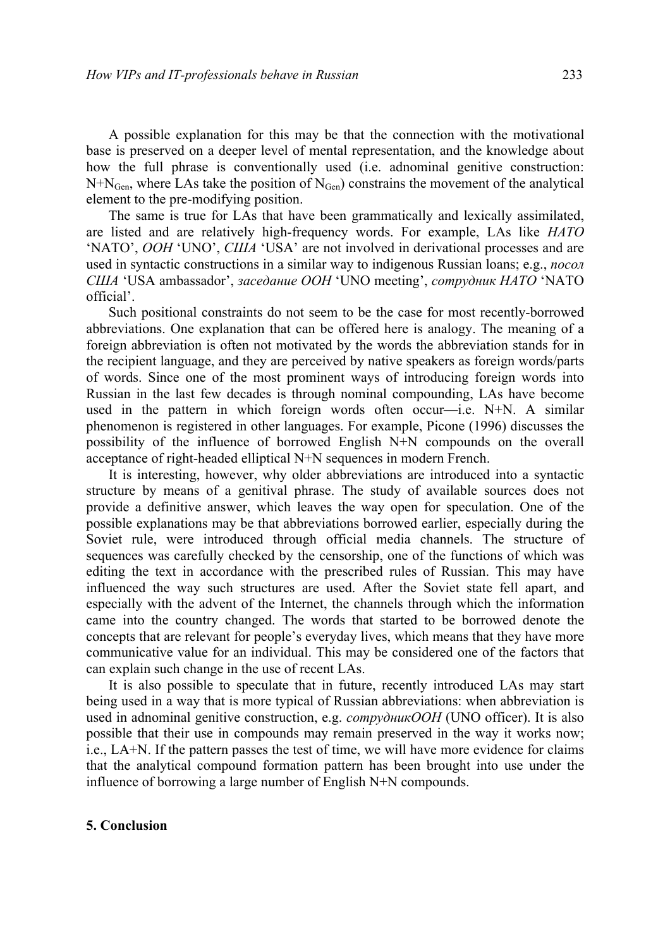A possible explanation for this may be that the connection with the motivational base is preserved on a deeper level of mental representation, and the knowledge about how the full phrase is conventionally used (i.e. adnominal genitive construction:  $N+N<sub>Gen</sub>$ , where LAs take the position of  $N<sub>Gen</sub>$ ) constrains the movement of the analytical element to the pre-modifying position.

The same is true for LAs that have been grammatically and lexically assimilated, are listed and are relatively high-frequency words. For example, LAs like *НАТО* 'NATO', *ООН* 'UNO', *США* 'USA' are not involved in derivational processes and are used in syntactic constructions in a similar way to indigenous Russian loans; e.g., *посол США* 'USA ambassador', *заседание ООН* 'UNO meeting', *сотрудник НАТО* 'NATO official'.

Such positional constraints do not seem to be the case for most recently-borrowed abbreviations. One explanation that can be offered here is analogy. The meaning of a foreign abbreviation is often not motivated by the words the abbreviation stands for in the recipient language, and they are perceived by native speakers as foreign words/parts of words. Since one of the most prominent ways of introducing foreign words into Russian in the last few decades is through nominal compounding, LAs have become used in the pattern in which foreign words often occur—i.e. N+N. A similar phenomenon is registered in other languages. For example, Picone (1996) discusses the possibility of the influence of borrowed English N+N compounds on the overall acceptance of right-headed elliptical N+N sequences in modern French.

It is interesting, however, why older abbreviations are introduced into a syntactic structure by means of a genitival phrase. The study of available sources does not provide a definitive answer, which leaves the way open for speculation. One of the possible explanations may be that abbreviations borrowed earlier, especially during the Soviet rule, were introduced through official media channels. The structure of sequences was carefully checked by the censorship, one of the functions of which was editing the text in accordance with the prescribed rules of Russian. This may have influenced the way such structures are used. After the Soviet state fell apart, and especially with the advent of the Internet, the channels through which the information came into the country changed. The words that started to be borrowed denote the concepts that are relevant for people's everyday lives, which means that they have more communicative value for an individual. This may be considered one of the factors that can explain such change in the use of recent LAs.

It is also possible to speculate that in future, recently introduced LAs may start being used in a way that is more typical of Russian abbreviations: when abbreviation is used in adnominal genitive construction, e.g. *сотрудникООН* (UNO officer). It is also possible that their use in compounds may remain preserved in the way it works now; i.e., LA+N. If the pattern passes the test of time, we will have more evidence for claims that the analytical compound formation pattern has been brought into use under the influence of borrowing a large number of English N+N compounds.

#### **5. Conclusion**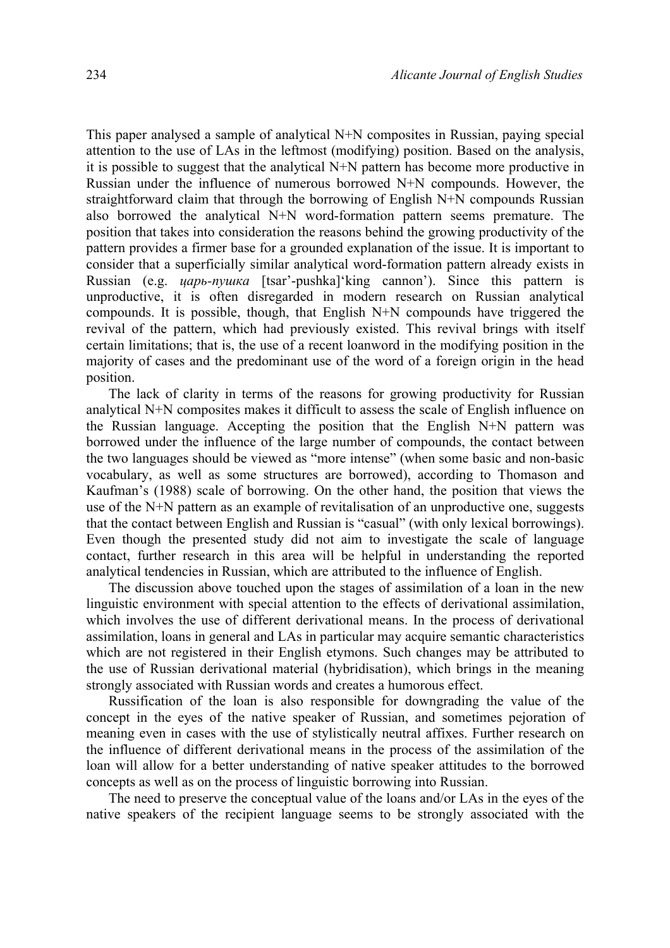This paper analysed a sample of analytical N+N composites in Russian, paying special attention to the use of LAs in the leftmost (modifying) position. Based on the analysis, it is possible to suggest that the analytical N+N pattern has become more productive in Russian under the influence of numerous borrowed N+N compounds. However, the straightforward claim that through the borrowing of English N+N compounds Russian also borrowed the analytical N+N word-formation pattern seems premature. The position that takes into consideration the reasons behind the growing productivity of the pattern provides a firmer base for a grounded explanation of the issue. It is important to consider that a superficially similar analytical word-formation pattern already exists in Russian (e.g. *царь-пушка* [tsar'-pushka]'king cannon'). Since this pattern is unproductive, it is often disregarded in modern research on Russian analytical compounds. It is possible, though, that English N+N compounds have triggered the revival of the pattern, which had previously existed. This revival brings with itself certain limitations; that is, the use of a recent loanword in the modifying position in the majority of cases and the predominant use of the word of a foreign origin in the head position.

The lack of clarity in terms of the reasons for growing productivity for Russian analytical N+N composites makes it difficult to assess the scale of English influence on the Russian language. Accepting the position that the English N+N pattern was borrowed under the influence of the large number of compounds, the contact between the two languages should be viewed as "more intense" (when some basic and non-basic vocabulary, as well as some structures are borrowed), according to Thomason and Kaufman's (1988) scale of borrowing. On the other hand, the position that views the use of the N+N pattern as an example of revitalisation of an unproductive one, suggests that the contact between English and Russian is "casual" (with only lexical borrowings). Even though the presented study did not aim to investigate the scale of language contact, further research in this area will be helpful in understanding the reported analytical tendencies in Russian, which are attributed to the influence of English.

The discussion above touched upon the stages of assimilation of a loan in the new linguistic environment with special attention to the effects of derivational assimilation, which involves the use of different derivational means. In the process of derivational assimilation, loans in general and LAs in particular may acquire semantic characteristics which are not registered in their English etymons. Such changes may be attributed to the use of Russian derivational material (hybridisation), which brings in the meaning strongly associated with Russian words and creates a humorous effect.

Russification of the loan is also responsible for downgrading the value of the concept in the eyes of the native speaker of Russian, and sometimes pejoration of meaning even in cases with the use of stylistically neutral affixes. Further research on the influence of different derivational means in the process of the assimilation of the loan will allow for a better understanding of native speaker attitudes to the borrowed concepts as well as on the process of linguistic borrowing into Russian.

The need to preserve the conceptual value of the loans and/or LAs in the eyes of the native speakers of the recipient language seems to be strongly associated with the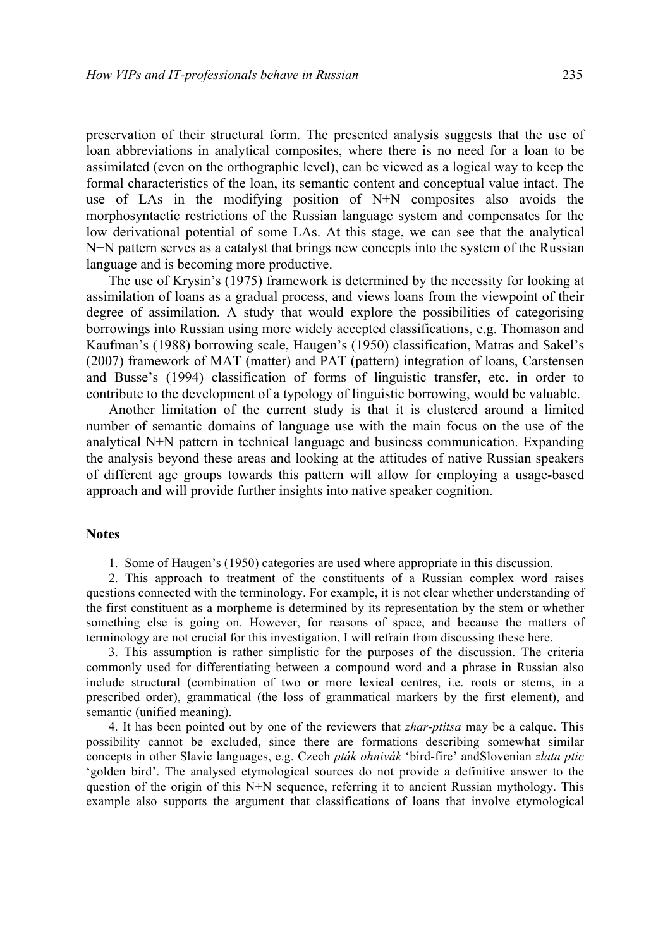preservation of their structural form. The presented analysis suggests that the use of loan abbreviations in analytical composites, where there is no need for a loan to be assimilated (even on the orthographic level), can be viewed as a logical way to keep the formal characteristics of the loan, its semantic content and conceptual value intact. The use of LAs in the modifying position of N+N composites also avoids the morphosyntactic restrictions of the Russian language system and compensates for the low derivational potential of some LAs. At this stage, we can see that the analytical N+N pattern serves as a catalyst that brings new concepts into the system of the Russian language and is becoming more productive.

The use of Krysin's (1975) framework is determined by the necessity for looking at assimilation of loans as a gradual process, and views loans from the viewpoint of their degree of assimilation. A study that would explore the possibilities of categorising borrowings into Russian using more widely accepted classifications, e.g. Thomason and Kaufman's (1988) borrowing scale, Haugen's (1950) classification, Matras and Sakel's (2007) framework of MAT (matter) and PAT (pattern) integration of loans, Carstensen and Busse's (1994) classification of forms of linguistic transfer, etc. in order to contribute to the development of a typology of linguistic borrowing, would be valuable.

Another limitation of the current study is that it is clustered around a limited number of semantic domains of language use with the main focus on the use of the analytical N+N pattern in technical language and business communication. Expanding the analysis beyond these areas and looking at the attitudes of native Russian speakers of different age groups towards this pattern will allow for employing a usage-based approach and will provide further insights into native speaker cognition.

#### **Notes**

1. Some of Haugen's (1950) categories are used where appropriate in this discussion.

2. This approach to treatment of the constituents of a Russian complex word raises questions connected with the terminology. For example, it is not clear whether understanding of the first constituent as a morpheme is determined by its representation by the stem or whether something else is going on. However, for reasons of space, and because the matters of terminology are not crucial for this investigation, I will refrain from discussing these here.

3. This assumption is rather simplistic for the purposes of the discussion. The criteria commonly used for differentiating between a compound word and a phrase in Russian also include structural (combination of two or more lexical centres, i.e. roots or stems, in a prescribed order), grammatical (the loss of grammatical markers by the first element), and semantic (unified meaning).

4. It has been pointed out by one of the reviewers that *zhar-ptitsa* may be a calque. This possibility cannot be excluded, since there are formations describing somewhat similar concepts in other Slavic languages, e.g. Czech *pták ohnivák* 'bird-fire' andSlovenian *zlata ptic*  'golden bird'. The analysed etymological sources do not provide a definitive answer to the question of the origin of this N+N sequence, referring it to ancient Russian mythology. This example also supports the argument that classifications of loans that involve etymological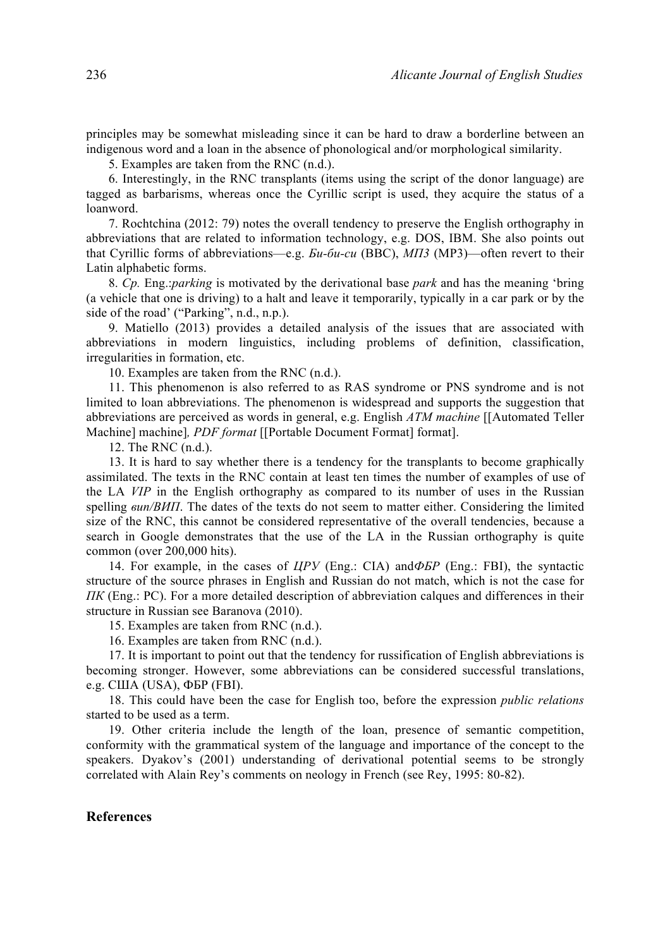principles may be somewhat misleading since it can be hard to draw a borderline between an indigenous word and a loan in the absence of phonological and/or morphological similarity.

5. Examples are taken from the RNC (n.d.).

6. Interestingly, in the RNC transplants (items using the script of the donor language) are tagged as barbarisms, whereas once the Cyrillic script is used, they acquire the status of a loanword.

7. Rochtchina (2012: 79) notes the overall tendency to preserve the English orthography in abbreviations that are related to information technology, e.g. DOS, IBM. She also points out that Cyrillic forms of abbreviations—e.g. *Би-би-си* (BBC), *МП3* (MP3)—often revert to their Latin alphabetic forms.

8. *Cp.* Eng.:*parking* is motivated by the derivational base *park* and has the meaning 'bring (a vehicle that one is driving) to a halt and leave it temporarily, typically in a car park or by the side of the road' ("Parking", n.d., n.p.).

9. Matiello (2013) provides a detailed analysis of the issues that are associated with abbreviations in modern linguistics, including problems of definition, classification, irregularities in formation, etc.

10. Examples are taken from the RNC (n.d.).

11. This phenomenon is also referred to as RAS syndrome or PNS syndrome and is not limited to loan abbreviations. The phenomenon is widespread and supports the suggestion that abbreviations are perceived as words in general, e.g. English *ATM machine* [[Automated Teller Machine] machine]*, PDF format* [[Portable Document Format] format].

12. The RNC (n.d.).

13. It is hard to say whether there is a tendency for the transplants to become graphically assimilated. The texts in the RNC contain at least ten times the number of examples of use of the LA *VIP* in the English orthography as compared to its number of uses in the Russian spelling *вип/ВИП*. The dates of the texts do not seem to matter either. Considering the limited size of the RNC, this cannot be considered representative of the overall tendencies, because a search in Google demonstrates that the use of the LA in the Russian orthography is quite common (over 200,000 hits).

14. For example, in the cases of *ЦРУ* (Eng.: CIA) and*ФБР* (Eng.: FBI), the syntactic structure of the source phrases in English and Russian do not match, which is not the case for *ПК* (Eng.: PC). For a more detailed description of abbreviation calques and differences in their structure in Russian see Baranova (2010).

15. Examples are taken from RNC (n.d.).

16. Examples are taken from RNC (n.d.).

17. It is important to point out that the tendency for russification of English abbreviations is becoming stronger. However, some abbreviations can be considered successful translations, e.g. США (USA), ФБР (FBI).

18. This could have been the case for English too, before the expression *public relations* started to be used as a term.

19. Other criteria include the length of the loan, presence of semantic competition, conformity with the grammatical system of the language and importance of the concept to the speakers. Dyakov's (2001) understanding of derivational potential seems to be strongly correlated with Alain Rey's comments on neology in French (see Rey, 1995: 80-82).

#### **References**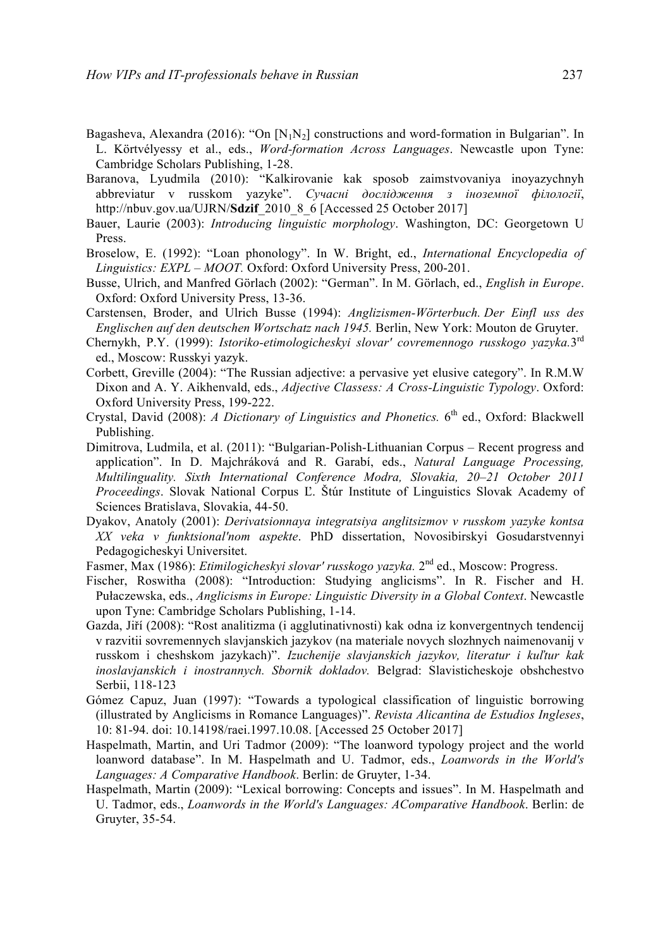- Bagasheva, Alexandra (2016): "On  $[N_1N_2]$  constructions and word-formation in Bulgarian". In L. Körtvélyessy et al., eds., *Word-formation Across Languages*. Newcastle upon Tyne: Cambridge Scholars Publishing, 1-28.
- Baranova, Lyudmila (2010): "Kalkirovanie kak sposob zaimstvovaniya inoyazychnyh abbreviatur v russkom yazyke". *Сучасні дослідження з іноземної філології*, http://nbuv.gov.ua/UJRN/**Sdzif**\_2010\_8\_6 [Accessed 25 October 2017]
- Bauer, Laurie (2003): *Introducing linguistic morphology*. Washington, DC: Georgetown U Press.
- Broselow, E. (1992): "Loan phonology". In W. Bright, ed., *International Encyclopedia of Linguistics: EXPL – MOOT.* Oxford: Oxford University Press, 200-201.
- Busse, Ulrich, and Manfred Görlach (2002): "German". In M. Görlach, ed., *English in Europe*. Oxford: Oxford University Press, 13-36.
- Carstensen, Broder, and Ulrich Busse (1994): *Anglizismen-Wörterbuch. Der Einfl uss des Englischen auf den deutschen Wortschatz nach 1945.* Berlin, New York: Mouton de Gruyter.
- Chernykh, P.Y. (1999): *Istoriko-etimologicheskyi slovar' covremennogo russkogo yazyka.*3rd ed., Moscow: Russkyi yazyk.
- Corbett, Greville (2004): "The Russian adjective: a pervasive yet elusive category". In R.M.W Dixon and A. Y. Aikhenvald, eds., *Adjective Classess: A Cross-Linguistic Typology*. Oxford: Oxford University Press, 199-222.
- Crystal, David (2008): *A Dictionary of Linguistics and Phonetics*. 6<sup>th</sup> ed., Oxford: Blackwell Publishing.
- Dimitrova, Ludmila, et al. (2011): "Bulgarian-Polish-Lithuanian Corpus Recent progress and application". In D. Majchráková and R. Garabí, eds., *Natural Language Processing, Multilinguality. Sixth International Conference Modra, Slovakia, 20–21 October 2011 Proceedings*. Slovak National Corpus Ľ. Štúr Institute of Linguistics Slovak Academy of Sciences Bratislava, Slovakia, 44-50.
- Dyakov, Anatoly (2001): *Derivatsionnaya integratsiya anglitsizmov v russkom yazyke kontsa XX veka v funktsional'nom aspekte*. PhD dissertation, Novosibirskyi Gosudarstvennyi Pedagogicheskyi Universitet.
- Fasmer, Max (1986): *Etimilogicheskyi slovar' russkogo yazyka*. 2<sup>nd</sup> ed., Moscow: Progress.
- Fischer, Roswitha (2008): "Introduction: Studying anglicisms". In R. Fischer and H. Pułaczewska, eds., *Anglicisms in Europe: Linguistic Diversity in a Global Context*. Newcastle upon Tyne: Cambridge Scholars Publishing, 1-14.
- Gazda, Jiří (2008): "Rost analitizma (i agglutinativnosti) kak odna iz konvergentnych tendencij v razvitii sovremennych slavjanskich jazykov (na materiale novych slozhnych naimenovanij v russkom i cheshskom jazykach)". *Izuchenije slavjanskich jazykov, literatur i kuľtur kak inoslavjanskich i inostrannych. Sbornik dokladov.* Belgrad: Slavisticheskoje obshchestvo Serbii, 118-123
- Gómez Capuz, Juan (1997): "Towards a typological classification of linguistic borrowing (illustrated by Anglicisms in Romance Languages)". *Revista Alicantina de Estudios Ingleses*, 10: 81-94. doi: 10.14198/raei.1997.10.08. [Accessed 25 October 2017]
- Haspelmath, Martin, and Uri Tadmor (2009): "The loanword typology project and the world loanword database". In M. Haspelmath and U. Tadmor, eds., *Loanwords in the World's Languages: A Comparative Handbook*. Berlin: de Gruyter, 1-34.
- Haspelmath, Martin (2009): "Lexical borrowing: Concepts and issues". In M. Haspelmath and U. Tadmor, eds., *Loanwords in the World's Languages: AComparative Handbook*. Berlin: de Gruyter, 35-54.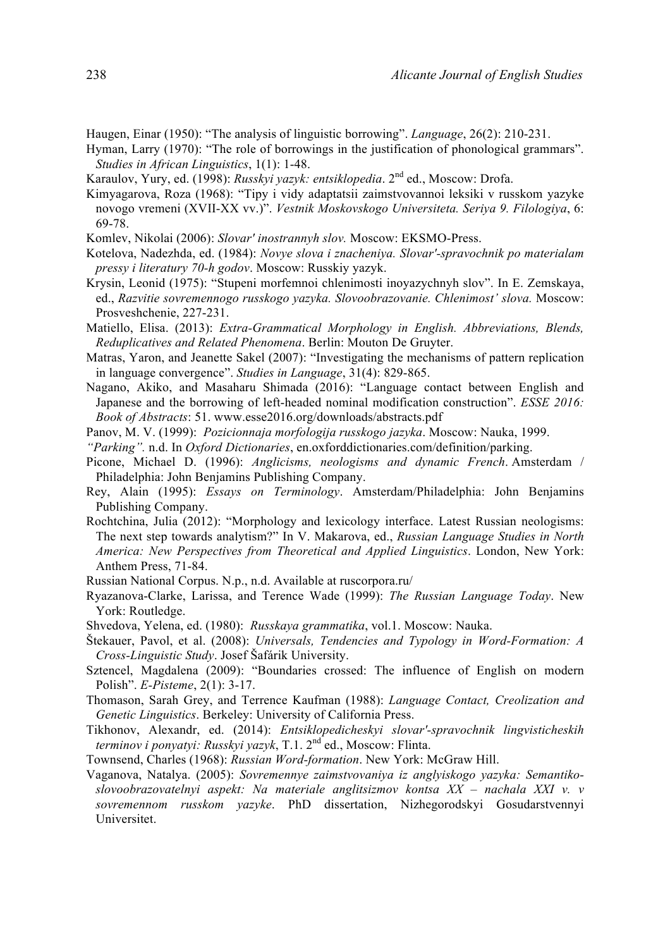- Haugen, Einar (1950): "The analysis of linguistic borrowing". *Language*, 26(2): 210-231.
- Hyman, Larry (1970): "The role of borrowings in the justification of phonological grammars". *Studies in African Linguistics*, 1(1): 1-48.
- Karaulov, Yury, ed. (1998): *Russkyi yazyk: entsiklopedia*. 2nd ed., Moscow: Drofa.
- Kimyagarova, Roza (1968): "Tipy i vidy adaptatsii zaimstvovannoi leksiki v russkom yazyke novogo vremeni (XVII-XX vv.)". *Vestnik Moskovskogo Universiteta. Seriya 9. Filologiya*, 6: 69-78.
- Komlev, Nikolai (2006): *Slovar' inostrannyh slov.* Moscow: EKSMO-Press.
- Kotelova, Nadezhda, ed. (1984): *Novye slova i znacheniya. Slovar'-spravochnik po materialam pressy i literatury 70-h godov*. Moscow: Russkiy yazyk.
- Krysin, Leonid (1975): "Stupeni morfemnoi chlenimosti inoyazychnyh slov". In E. Zemskaya, ed., *Razvitie sovremennogo russkogo yazyka. Slovoobrazovanie. Chlenimost' slova.* Moscow: Prosveshchenie, 227-231.
- Matiello, Elisa. (2013): *Extra-Grammatical Morphology in English. Abbreviations, Blends, Reduplicatives and Related Phenomena*. Berlin: Mouton De Gruyter.
- Matras, Yaron, and Jeanette Sakel (2007): "Investigating the mechanisms of pattern replication in language convergence". *Studies in Language*, 31(4): 829-865.
- Nagano, Akiko, and Masaharu Shimada (2016): "Language contact between English and Japanese and the borrowing of left-headed nominal modification construction". *ESSE 2016: Book of Abstracts*: 51. www.esse2016.org/downloads/abstracts.pdf
- Panov, M. V. (1999): *Pozicionnaja morfologija russkogo jazyka*. Moscow: Nauka, 1999.
- *"Parking".* n.d. In *Oxford Dictionaries*, en.oxforddictionaries.com/definition/parking.
- Picone, Michael D. (1996): *Anglicisms, neologisms and dynamic French*. Amsterdam / Philadelphia: John Benjamins Publishing Company.
- Rey, Alain (1995): *Essays on Terminology*. Amsterdam/Philadelphia: John Benjamins Publishing Company.
- Rochtchina, Julia (2012): "Morphology and lexicology interface. Latest Russian neologisms: The next step towards analytism?" In V. Makarova, ed., *Russian Language Studies in North America: New Perspectives from Theoretical and Applied Linguistics*. London, New York: Anthem Press, 71-84.
- Russian National Corpus. N.p., n.d. Available at ruscorpora.ru/
- Ryazanova-Clarke, Larissa, and Terence Wade (1999): *The Russian Language Today*. New York: Routledge.
- Shvedova, Yelena, ed. (1980): *Russkaya grammatika*, vol.1. Moscow: Nauka.
- Štekauer, Pavol, et al. (2008): *Universals, Tendencies and Typology in Word-Formation: A Cross-Linguistic Study*. Josef Šafárik University.
- Sztencel, Magdalena (2009): "Boundaries crossed: The influence of English on modern Polish". *E-Pisteme*, 2(1): 3-17.
- Thomason, Sarah Grey, and Terrence Kaufman (1988): *Language Contact, Creolization and Genetic Linguistics*. Berkeley: University of California Press.
- Tikhonov, Alexandr, ed. (2014): *Entsiklopedicheskyi slovar'-spravochnik lingvisticheskih terminov i ponyatyi: Russkyi yazyk*, T.1. 2nd ed., Moscow: Flinta.
- Townsend, Charles (1968): *Russian Word-formation*. New York: McGraw Hill.
- Vaganova, Natalya. (2005): *Sovremennye zaimstvovaniya iz anglyiskogo yazyka: Semantikoslovoobrazovatelnyi aspekt: Na materiale anglitsizmov kontsa XX – nachala XXI v. v sovremennom russkom yazyke*. PhD dissertation, Nizhegorodskyi Gosudarstvennyi Universitet.